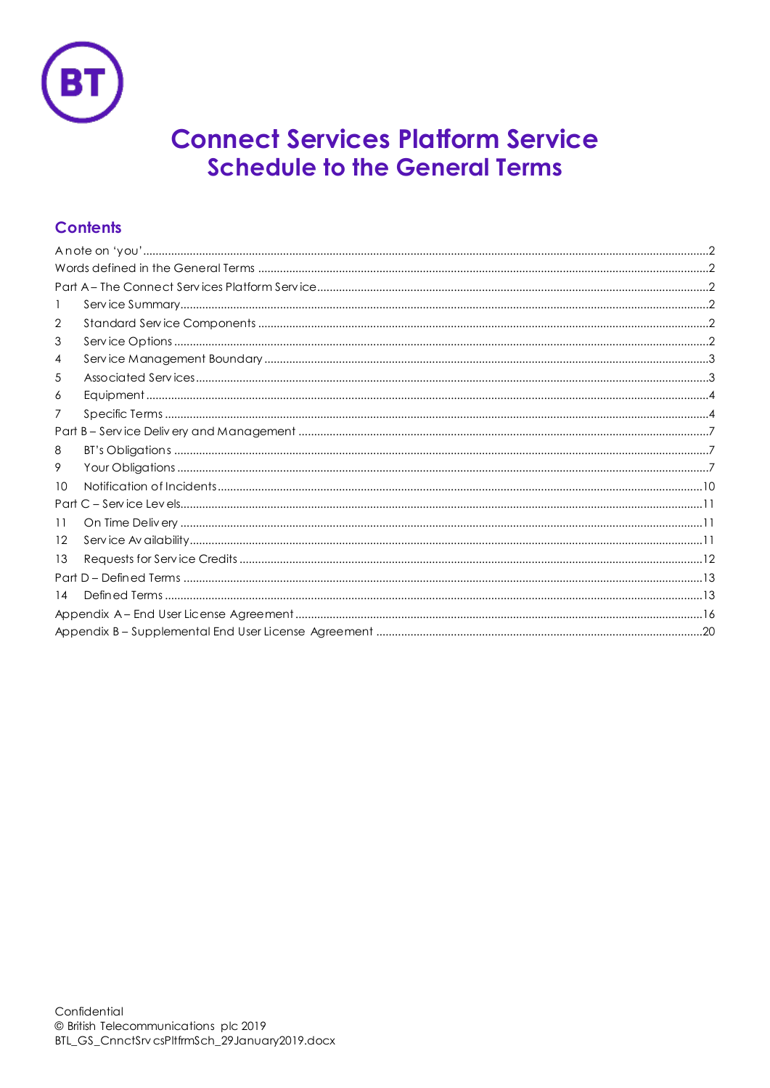

# **Connect Services Platform Service Schedule to the General Terms**

# **Contents**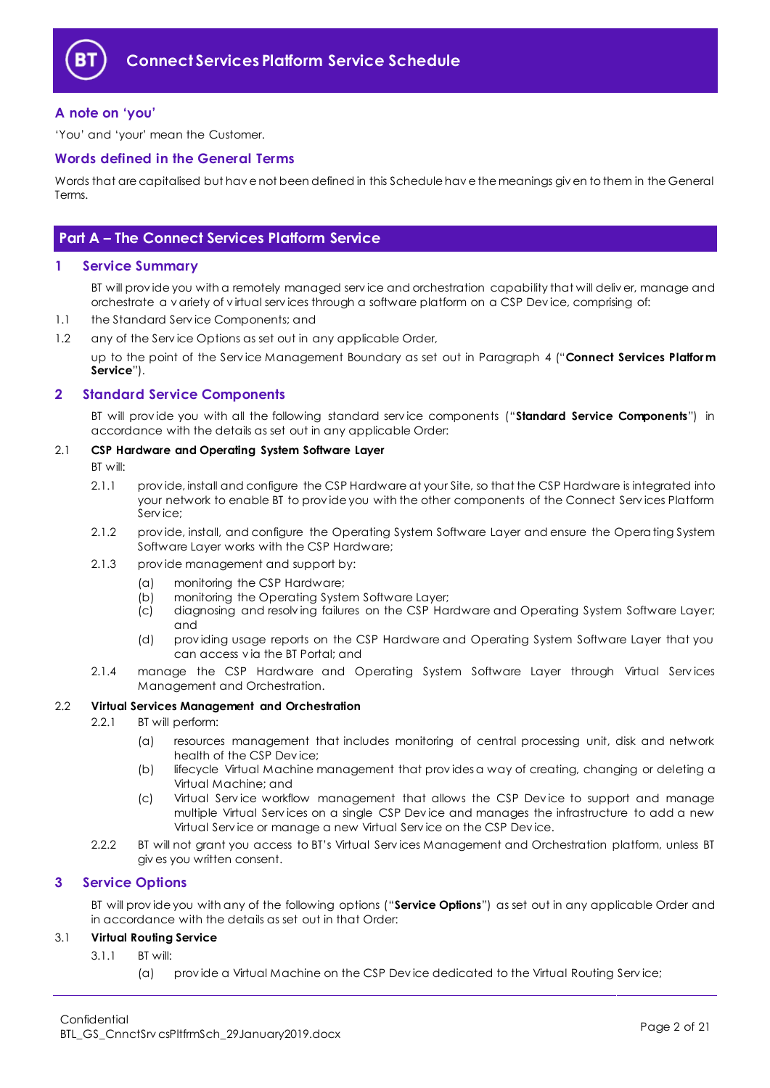

# <span id="page-1-0"></span>**A note on 'you'**

'You' and 'your' mean the Customer.

### <span id="page-1-1"></span>**Words defined in the General Terms**

Words that are capitalised but hav e not been defined in this Schedule hav e the meanings giv en to them in the General Terms.

# <span id="page-1-2"></span>**Part A – The Connect Services Platform Service**

#### <span id="page-1-3"></span>**1 Service Summary**

BT will prov ide you with a remotely managed serv ice and orchestration capability that will deliv er, manage and orchestrate a v ariety of v irtual serv ices through a software platform on a CSP Dev ice, comprising of:

- 1.1 the Standard Serv ice Components; and
- 1.2 any of the Serv ice Options as set out in any applicable Order,

up to the point of the Serv ice Management Boundary as set out in Paragraph [4](#page-2-0) ("**Connect Services Platform Service**").

# <span id="page-1-4"></span>**2 Standard Service Components**

BT will prov ide you with all the following standard serv ice components ("**Standard Service Components**") in accordance with the details as set out in any applicable Order:

#### 2.1 **CSP Hardware and Operating System Software Layer**

- BT will:
- 2.1.1 prov ide, install and configure the CSP Hardware at your Site, so that the CSP Hardware is integrated into your network to enable BT to prov ide you with the other components of the Connect Serv ices Platform Serv ice;
- 2.1.2 prov ide, install, and configure the Operating System Software Layer and ensure the Operating System Software Layer works with the CSP Hardware;
- 2.1.3 prov ide management and support by:
	- (a) monitoring the CSP Hardware;
	- (b) monitoring the Operating System Software Layer;
	- (c) diagnosing and resolv ing failures on the CSP Hardware and Operating System Software Layer; and
	- (d) prov iding usage reports on the CSP Hardware and Operating System Software Layer that you can access v ia the BT Portal; and
- 2.1.4 manage the CSP Hardware and Operating System Software Layer through Virtual Services Management and Orchestration.

#### <span id="page-1-7"></span>2.2 **Virtual Services Management and Orchestration**

- 2.2.1 BT will perform:
	- (a) resources management that includes monitoring of central processing unit, disk and network health of the CSP Dev ice;
	- (b) lifecycle Virtual Machine management that prov ides a way of creating, changing or deleting a Virtual Machine; and
	- (c) Virtual Serv ice workflow management that allows the CSP Dev ice to support and manage multiple Virtual Serv ices on a single CSP Dev ice and manages the infrastructure to add a new Virtual Serv ice or manage a new Virtual Serv ice on the CSP Dev ice.
- 2.2.2 BT will not grant you access to BT's Virtual Serv ices Management and Orchestration platform, unless BT giv es you written consent.

#### <span id="page-1-5"></span>**3 Service Options**

BT will prov ide you with any of the following options ("**Service Options**") as set out in any applicable Order and in accordance with the details as set out in that Order:

#### <span id="page-1-6"></span>3.1 **Virtual Routing Service**

- 3.1.1 BT will:
	- (a) prov ide a Virtual Machine on the CSP Dev ice dedicated to the Virtual Routing Serv ice;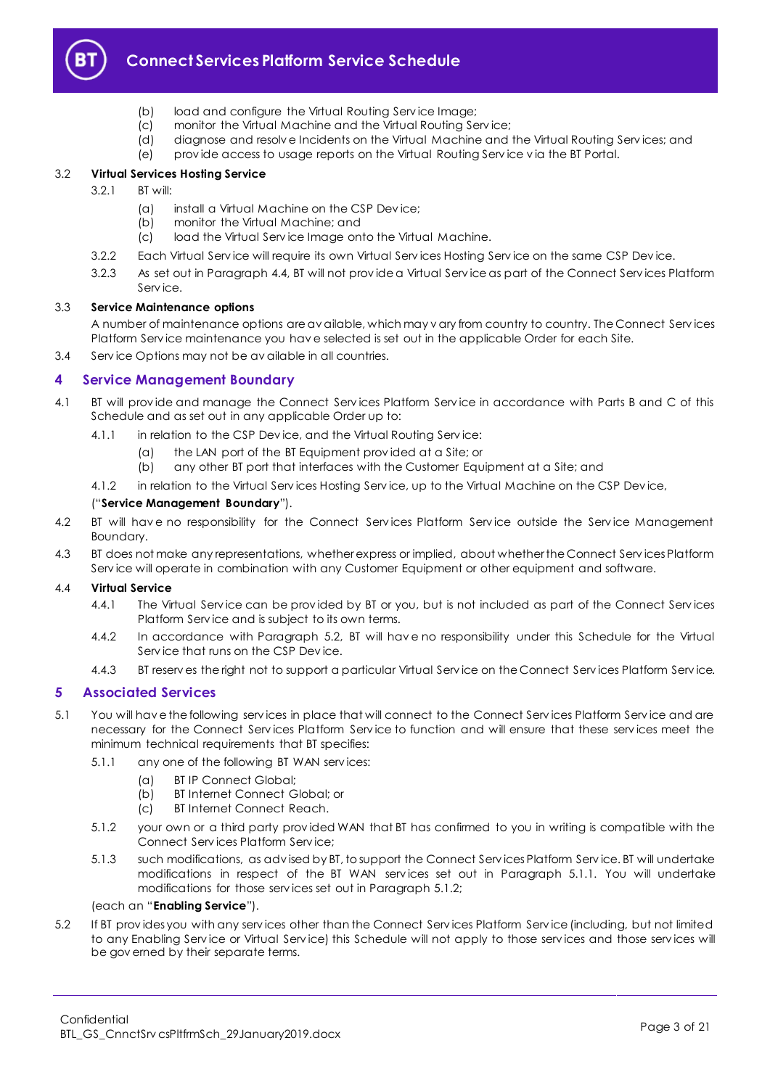

# **Connect Services Platform Service Schedule**

- (b) load and configure the Virtual Routing Serv ice Image;
- (c) monitor the Virtual Machine and the Virtual Routing Serv ice;
- (d) diagnose and resolv e Incidents on the Virtual Machine and the Virtual Routing Serv ices; and
	- (e) prov ide access to usage reports on the Virtual Routing Serv ice v ia the BT Portal.

#### <span id="page-2-8"></span>3.2 **Virtual Services Hosting Service**

- 3.2.1 BT will:
	- (a) install a Virtual Machine on the CSP Dev ice;
	- (b) monitor the Virtual Machine; and
	- (c) load the Virtual Serv ice Image onto the Virtual Machine.
- 3.2.2 Each Virtual Serv ice will require its own Virtual Serv ices Hosting Serv ice on the same CSP Dev ice.
- 3.2.3 As set out in Paragrap[h 4.4,](#page-2-2) BT will not prov ide a Virtual Serv ice as part of the Connect Serv ices Platform Serv ice.

#### 3.3 **Service Maintenance options**

A number of maintenance options are av ailable, which may v ary from country to country. The Connect Serv ices Platform Serv ice maintenance you hav e selected is set out in the applicable Order for each Site.

3.4 Serv ice Options may not be av ailable in all countries.

# <span id="page-2-0"></span>**4 Service Management Boundary**

- <span id="page-2-7"></span>4.1 BT will provide and manage the Connect Services Platform Service in accordance with Parts B and C of this Schedule and as set out in any applicable Order up to:
	- 4.1.1 in relation to the CSP Device, and the Virtual Routing Service:
		- (a) the LAN port of the BT Equipment prov ided at a Site; or
		- (b) any other BT port that interfaces with the Customer Equipment at a Site; and
	- 4.1.2 in relation to the Virtual Serv ices Hosting Serv ice, up to the Virtual Machine on the CSP Dev ice,

#### ("**Service Management Boundary**").

- 4.2 BT will hav e no responsibility for the Connect Serv ices Platform Serv ice outside the Serv ice Management Boundary.
- 4.3 BT does not make any representations, whether express or implied, about whether the Connect Serv ices Platform Serv ice will operate in combination with any Customer Equipment or other equipment and software.

#### <span id="page-2-2"></span>4.4 **Virtual Service**

- 4.4.1 The Virtual Service can be provided by BT or you, but is not included as part of the Connect Services Platform Serv ice and is subject to its own terms.
- 4.4.2 In accordance with Paragraph [5.2,](#page-2-3) BT will hav e no responsibility under this Schedule for the Virtual Serv ice that runs on the CSP Dev ice.
- 4.4.3 BT reserv es the right not to support a particular Virtual Serv ice on the Connect Serv ices Platform Serv ice.

# <span id="page-2-1"></span>**5 Associated Services**

- <span id="page-2-6"></span><span id="page-2-4"></span>5.1 You will hav e the following serv ices in place that will connect to the Connect Serv ices Platform Serv ice and are necessary for the Connect Serv ices Platform Serv ice to function and will ensure that these serv ices meet the minimum technical requirements that BT specifies:
	- 5.1.1 any one of the following BT WAN serv ices:
		- (a) BT IP Connect Global;
		- (b) BT Internet Connect Global; or
		- (c) BT Internet Connect Reach.
	- 5.1.2 your own or a third party prov ided WAN that BT has confirmed to you in writing is compatible with the Connect Serv ices Platform Serv ice;
	- 5.1.3 such modifications, as adv ised by BT, to support the Connect Serv ices Platform Serv ice. BT will undertake modifications in respect of the BT WAN services set out in Paragraph [5.1.1.](#page-2-4) You will undertake modifications for those serv ices set out in Paragraph [5.1.2;](#page-2-5)

#### <span id="page-2-5"></span>(each an "**Enabling Service**").

<span id="page-2-3"></span>5.2 If BT prov ides you with any serv ices other than the Connect Serv ices Platform Serv ice (including, but not limited to any Enabling Serv ice or Virtual Serv ice) this Schedule will not apply to those serv ices and those serv ices will be gov erned by their separate terms.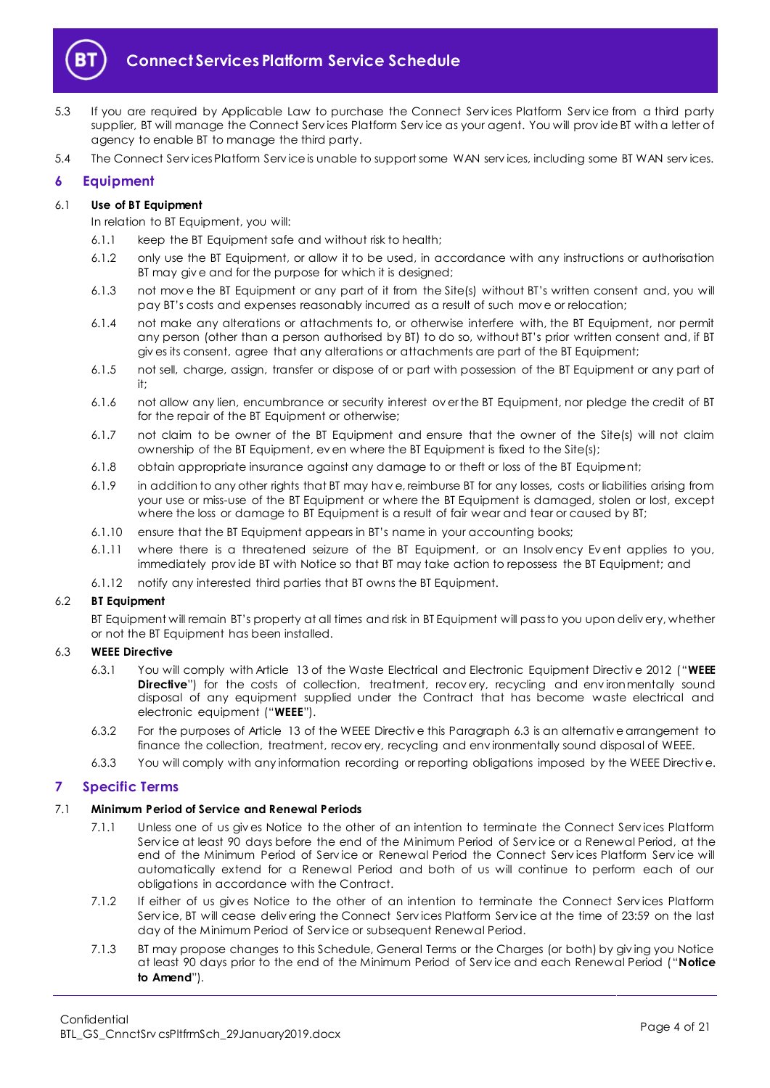

- 5.3 If you are required by Applicable Law to purchase the Connect Serv ices Platform Serv ice from a third party supplier, BT will manage the Connect Serv ices Platform Serv ice as your agent. You will prov ide BT with a letter of agency to enable BT to manage the third party.
- 5.4 The Connect Serv ices Platform Serv ice is unable to support some WAN serv ices, including some BT WAN serv ices.

# <span id="page-3-0"></span>**6 Equipment**

#### 6.1 **Use of BT Equipment**

In relation to BT Equipment, you will:

- 6.1.1 keep the BT Equipment safe and without risk to health;
- 6.1.2 only use the BT Equipment, or allow it to be used, in accordance with any instructions or authorisation BT may give and for the purpose for which it is designed;
- 6.1.3 not mov e the BT Equipment or any part of it from the Site(s) without BT's written consent and, you will pay BT's costs and expenses reasonably incurred as a result of such mov e or relocation;
- 6.1.4 not make any alterations or attachments to, or otherwise interfere with, the BT Equipment, nor permit any person (other than a person authorised by BT) to do so, without BT's prior written consent and, if BT giv es its consent, agree that any alterations or attachments are part of the BT Equipment;
- 6.1.5 not sell, charge, assign, transfer or dispose of or part with possession of the BT Equipment or any part of it;
- 6.1.6 not allow any lien, encumbrance or security interest ov er the BT Equipment, nor pledge the credit of BT for the repair of the BT Equipment or otherwise;
- 6.1.7 not claim to be owner of the BT Equipment and ensure that the owner of the Site(s) will not claim ownership of the BT Equipment, ev en where the BT Equipment is fixed to the Site(s);
- 6.1.8 obtain appropriate insurance against any damage to or theft or loss of the BT Equipment;
- 6.1.9 in addition to any other rights that BT may hav e, reimburse BT for any losses, costs or liabilities arising from your use or miss-use of the BT Equipment or where the BT Equipment is damaged, stolen or lost, except where the loss or damage to BT Equipment is a result of fair wear and tear or caused by BT;
- 6.1.10 ensure that the BT Equipment appears in BT's name in your accounting books;
- 6.1.11 where there is a threatened seizure of the BT Equipment, or an Insolv ency Ev ent applies to you, immediately prov ide BT with Notice so that BT may take action to repossess the BT Equipment; and
- 6.1.12 notify any interested third parties that BT owns the BT Equipment.

#### 6.2 **BT Equipment**

BT Equipment will remain BT's property at all times and risk in BT Equipment will pass to you upon deliv ery, whether or not the BT Equipment has been installed.

#### <span id="page-3-4"></span><span id="page-3-2"></span>6.3 **WEEE Directive**

- 6.3.1 You will comply with Article 13 of the Waste Electrical and Electronic Equipment Directiv e 2012 ("**WEEE Directive**") for the costs of collection, treatment, recovery, recycling and environmentally sound disposal of any equipment supplied under the Contract that has become waste electrical and electronic equipment ("**WEEE**").
- 6.3.2 For the purposes of Article 13 of the WEEE Directiv e this Paragrap[h 6.3](#page-3-2) is an alternativ e arrangement to finance the collection, treatment, recov ery, recycling and env ironmentally sound disposal of WEEE.
- 6.3.3 You will comply with any information recording or reporting obligations imposed by the WEEE Directiv e.

# <span id="page-3-1"></span>**7 Specific Terms**

#### 7.1 **Minimum Period of Service and Renewal Periods**

- 7.1.1 Unless one of us giv es Notice to the other of an intention to terminate the Connect Serv ices Platform Serv ice at least 90 days before the end of the Minimum Period of Serv ice or a Renewal Period, at the end of the Minimum Period of Serv ice or Renewal Period the Connect Serv ices Platform Serv ice will automatically extend for a Renewal Period and both of us will continue to perform each of our obligations in accordance with the Contract.
- 7.1.2 If either of us giv es Notice to the other of an intention to terminate the Connect Serv ices Platform Serv ice, BT will cease deliv ering the Connect Serv ices Platform Serv ice at the time of 23:59 on the last day of the Minimum Period of Serv ice or subsequent Renewal Period.
- <span id="page-3-3"></span>7.1.3 BT may propose changes to this Schedule, General Terms or the Charges (or both) by giv ing you Notice at least 90 days prior to the end of the Minimum Period of Serv ice and each Renewal Period ("**Notice to Amend**").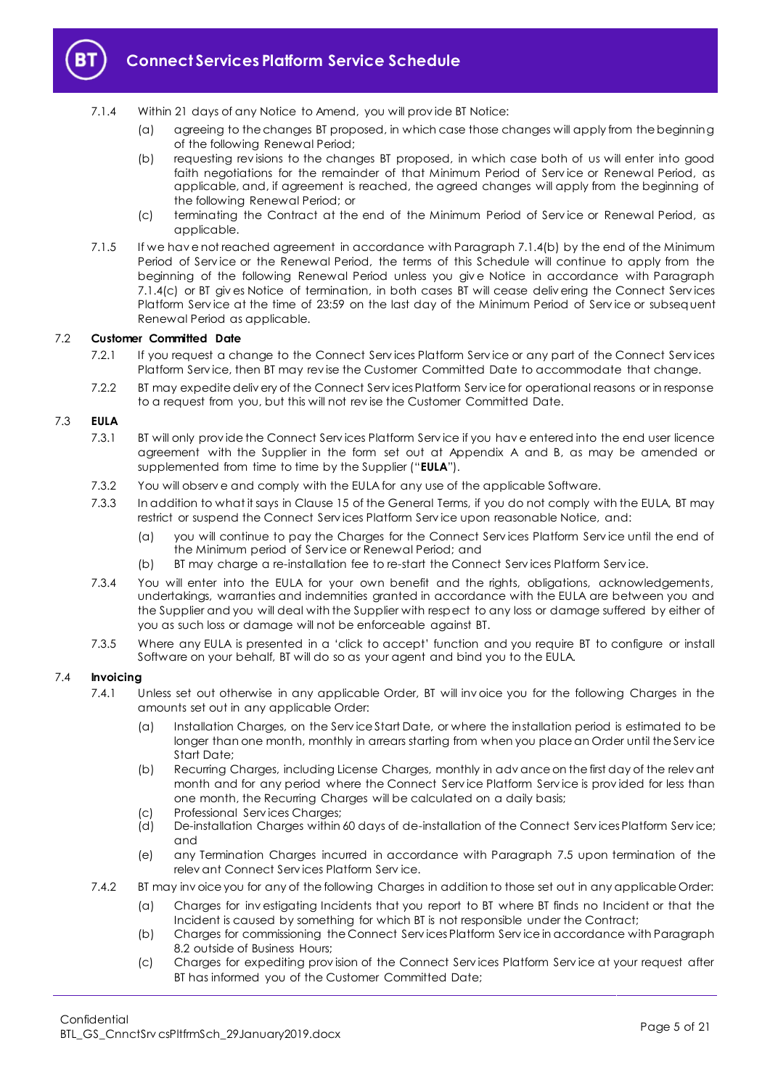

# **Connect Services Platform Service Schedule**

- <span id="page-4-0"></span>7.1.4 Within 21 days of any Notice to Amend, you will prov ide BT Notice:
	- (a) agreeing to the changes BT proposed, in which case those changes will apply from the beginning of the following Renewal Period;
	- (b) requesting rev isions to the changes BT proposed, in which case both of us will enter into good faith negotiations for the remainder of that Minimum Period of Service or Renewal Period, as applicable, and, if agreement is reached, the agreed changes will apply from the beginning of the following Renewal Period; or
	- (c) terminating the Contract at the end of the Minimum Period of Serv ice or Renewal Period, as applicable.
- <span id="page-4-1"></span>7.1.5 If we hav e not reached agreement in accordance with Paragrap[h 7.1.4\(b\)](#page-4-0) by the end of the Minimum Period of Service or the Renewal Period, the terms of this Schedule will continue to apply from the beginning of the following Renewal Period unless you giv e Notice in accordance with Paragraph [7.1.4\(c\)](#page-4-1) or BT giv es Notice of termination, in both cases BT will cease deliv ering the Connect Serv ices Platform Serv ice at the time of 23:59 on the last day of the Minimum Period of Serv ice or subsequent Renewal Period as applicable.

#### <span id="page-4-2"></span>7.2 **Customer Committed Date**

- 7.2.1 If you request a change to the Connect Serv ices Platform Serv ice or any part of the Connect Serv ices Platform Serv ice, then BT may rev ise the Customer Committed Date to accommodate that change.
- 7.2.2 BT may expedite deliv ery of the Connect Serv ices Platform Serv ice for operational reasons or in response to a request from you, but this will not rev ise the Customer Committed Date.

#### <span id="page-4-3"></span>7.3 **EULA**

- 7.3.1 BT will only prov ide the Connect Serv ices Platform Serv ice if you hav e entered into the end user licence agreement with the Supplier in the form set out at Appendix A and B, as may be amended or supplemented from time to time by the Supplier ("**EULA**").
- 7.3.2 You will observ e and comply with the EULA for any use of the applicable Software.
- 7.3.3 In addition to what it says in Clause 15 of the General Terms, if you do not comply with the EULA, BT may restrict or suspend the Connect Serv ices Platform Serv ice upon reasonable Notice, and:
	- (a) you will continue to pay the Charges for the Connect Serv ices Platform Serv ice until the end of the Minimum period of Serv ice or Renewal Period; and
	- (b) BT may charge a re-installation fee to re-start the Connect Serv ices Platform Serv ice.
- 7.3.4 You will enter into the EULA for your own benefit and the rights, obligations, acknowledgements, undertakings, warranties and indemnities granted in accordance with the EULA are between you and the Supplier and you will deal with the Supplier with respect to any loss or damage suffered by either of you as such loss or damage will not be enforceable against BT.
- 7.3.5 Where any EULA is presented in a 'click to accept' function and you require BT to configure or install Software on your behalf, BT will do so as your agent and bind you to the EULA.

#### 7.4 **Invoicing**

- 7.4.1 Unless set out otherwise in any applicable Order, BT will inv oice you for the following Charges in the amounts set out in any applicable Order:
	- (a) Installation Charges, on the Serv ice Start Date, or where the installation period is estimated to be longer than one month, monthly in arrears starting from when you place an Order until the Service Start Date;
	- (b) Recurring Charges, including License Charges, monthly in adv ance on the first day of the relev ant month and for any period where the Connect Serv ice Platform Serv ice is prov ided for less than one month, the Recurring Charges will be calculated on a daily basis;
	- (c) Professional Serv ices Charges;
	- (d) De-installation Charges within 60 days of de-installation of the Connect Serv ices Platform Serv ice; and
	- (e) any Termination Charges incurred in accordance with Paragraph [7.5](#page-5-0) upon termination of the relev ant Connect Serv ices Platform Serv ice.
- 7.4.2 BT may inv oice you for any of the following Charges in addition to those set out in any applicable Order:
	- (a) Charges for inv estigating Incidents that you report to BT where BT finds no Incident or that the Incident is caused by something for which BT is not responsible under the Contract;
	- (b) Charges for commissioning the Connect Serv ices Platform Serv ice in accordance with Paragraph [8.2](#page-6-3) outside of Business Hours;
	- (c) Charges for expediting prov ision of the Connect Serv ices Platform Serv ice at your request after BT has informed you of the Customer Committed Date;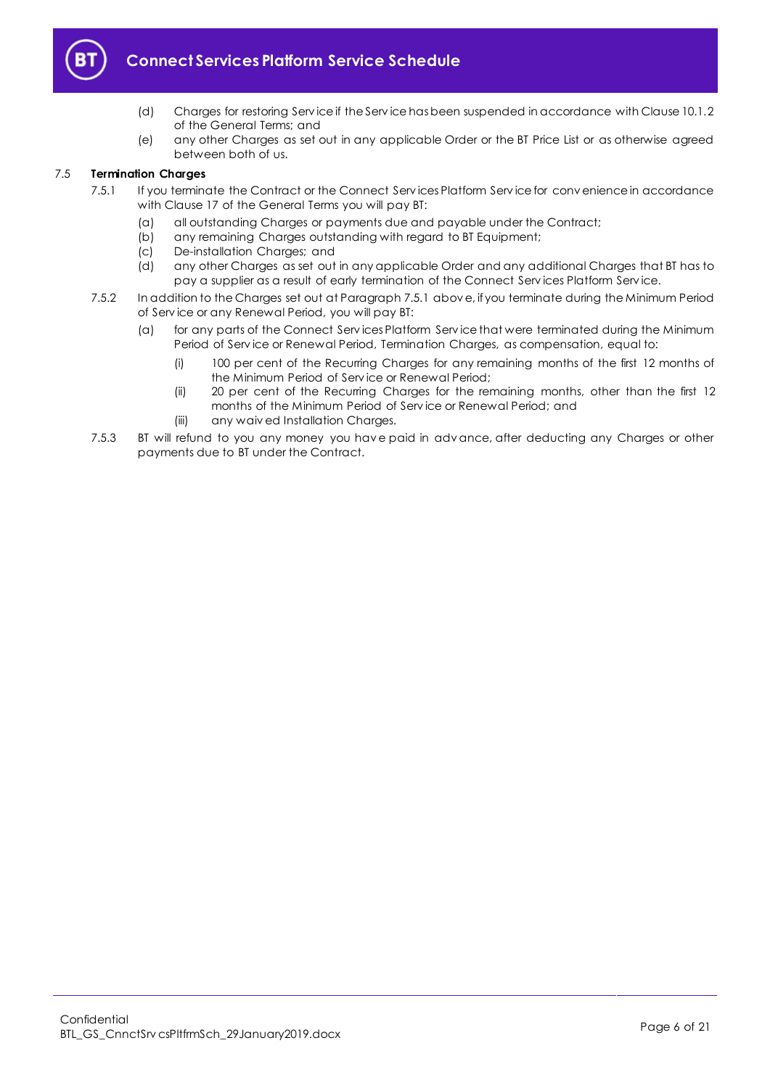

# **Connect Services Platform Service Schedule**

- (d) Charges for restoring Serv ice if the Serv ice has been suspended in accordance with Clause 10.1.2 of the General Terms; and
- (e) any other Charges as set out in any applicable Order or the BT Price List or as otherwise agreed between both of us.

#### <span id="page-5-1"></span><span id="page-5-0"></span>7.5 **Termination Charges**

- 7.5.1 If you terminate the Contract or the Connect Services Platform Service for convenience in accordance with Clause 17 of the General Terms you will pay BT:
	- (a) all outstanding Charges or payments due and payable under the Contract;
	- (b) any remaining Charges outstanding with regard to BT Equipment;
	- (c) De-installation Charges; and<br>(d) any other Charges as set out
	- any other Charges as set out in any applicable Order and any additional Charges that BT has to pay a supplier as a result of early termination of the Connect Serv ices Platform Serv ice.
- 7.5.2 In addition to the Charges set out at Paragrap[h 7.5.1](#page-5-1) abov e, if you terminate during the Minimum Period of Serv ice or any Renewal Period, you will pay BT:
	- (a) for any parts of the Connect Serv ices Platform Serv ice that were terminated during the Minimum Period of Serv ice or Renewal Period, Termination Charges, as compensation, equal to:
		- (i) 100 per cent of the Recurring Charges for any remaining months of the first 12 months of the Minimum Period of Serv ice or Renewal Period;
		- (ii) 20 per cent of the Recurring Charges for the remaining months, other than the first 12 months of the Minimum Period of Serv ice or Renewal Period; and
		- (iii) any waiv ed Installation Charges.
- 7.5.3 BT will refund to you any money you have paid in adv ance, after deducting any Charges or other payments due to BT under the Contract.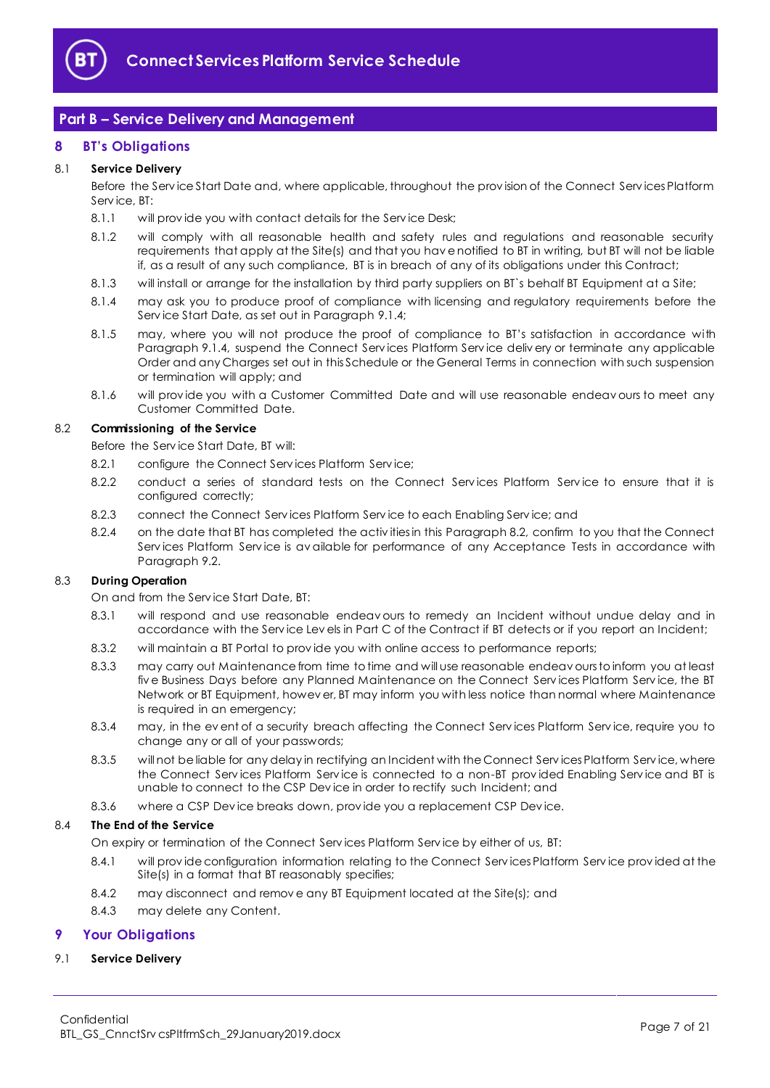

# <span id="page-6-0"></span>**Part B – Service Delivery and Management**

# <span id="page-6-1"></span>**8 BT's Obligations**

# 8.1 **Service Delivery**

Before the Serv ice Start Date and, where applicable, throughout the prov ision of the Connect Serv ices Platform Serv ice, BT:

- 8.1.1 will provide you with contact details for the Service Desk;
- 8.1.2 will comply with all reasonable health and safety rules and regulations and reasonable security requirements that apply at the Site(s) and that you hav e notified to BT in writing, but BT will not be liable if, as a result of any such compliance, BT is in breach of any of its obligations under this Contract;
- 8.1.3 will install or arrange for the installation by third party suppliers on BT`s behalf BT Equipment at a Site;
- 8.1.4 may ask you to produce proof of compliance with licensing and regulatory requirements before the Serv ice Start Date, as set out in Paragraph [9.1.4;](#page-7-0)
- 8.1.5 may, where you will not produce the proof of compliance to BT's satisfaction in accordance with Paragraph [9.1.4,](#page-7-0) suspend the Connect Serv ices Platform Serv ice deliv ery or terminate any applicable Order and any Charges set out in this Schedule or the General Terms in connection with such suspension or termination will apply; and
- 8.1.6 will prov ide you with a Customer Committed Date and will use reasonable endeav ours to meet any Customer Committed Date.

#### <span id="page-6-3"></span>8.2 **Commissioning of the Service**

Before the Serv ice Start Date, BT will:

- 8.2.1 configure the Connect Serv ices Platform Serv ice;
- 8.2.2 conduct a series of standard tests on the Connect Services Platform Service to ensure that it is configured correctly;
- 8.2.3 connect the Connect Serv ices Platform Serv ice to each Enabling Serv ice; and
- <span id="page-6-4"></span>8.2.4 on the date that BT has completed the activ ities in this Paragraph [8.2,](#page-6-3) confirm to you that the Connect Services Platform Service is av ailable for performance of any Acceptance Tests in accordance with Paragrap[h 9.2.](#page-7-1)

#### 8.3 **During Operation**

On and from the Serv ice Start Date, BT:

- 8.3.1 will respond and use reasonable endeav ours to remedy an Incident without undue delay and in accordance with the Serv ice Lev els in Part C of the Contract if BT detects or if you report an Incident;
- 8.3.2 will maintain a BT Portal to prov ide you with online access to performance reports;
- 8.3.3 may carry out Maintenance from time to time and will use reasonable endeav ours to inform you at least fiv e Business Days before any Planned Maintenance on the Connect Serv ices Platform Serv ice, the BT Network or BT Equipment, howev er, BT may inform you with less notice than normal where Maintenance is required in an emergency;
- 8.3.4 may, in the ev ent of a security breach affecting the Connect Services Platform Service, require you to change any or all of your passwords;
- 8.3.5 will not be liable for any delay in rectifying an Incident with the Connect Serv ices Platform Serv ice, where the Connect Serv ices Platform Serv ice is connected to a non-BT prov ided Enabling Serv ice and BT is unable to connect to the CSP Dev ice in order to rectify such Incident; and
- 8.3.6 where a CSP Dev ice breaks down, prov ide you a replacement CSP Dev ice.

#### 8.4 **The End of the Service**

On expiry or termination of the Connect Serv ices Platform Serv ice by either of us, BT:

- 8.4.1 will provide configuration information relating to the Connect Services Platform Service provided at the Site(s) in a format that BT reasonably specifies;
- 8.4.2 may disconnect and remov e any BT Equipment located at the Site(s); and
- 8.4.3 may delete any Content.

# <span id="page-6-2"></span>**9 Your Obligations**

#### 9.1 **Service Delivery**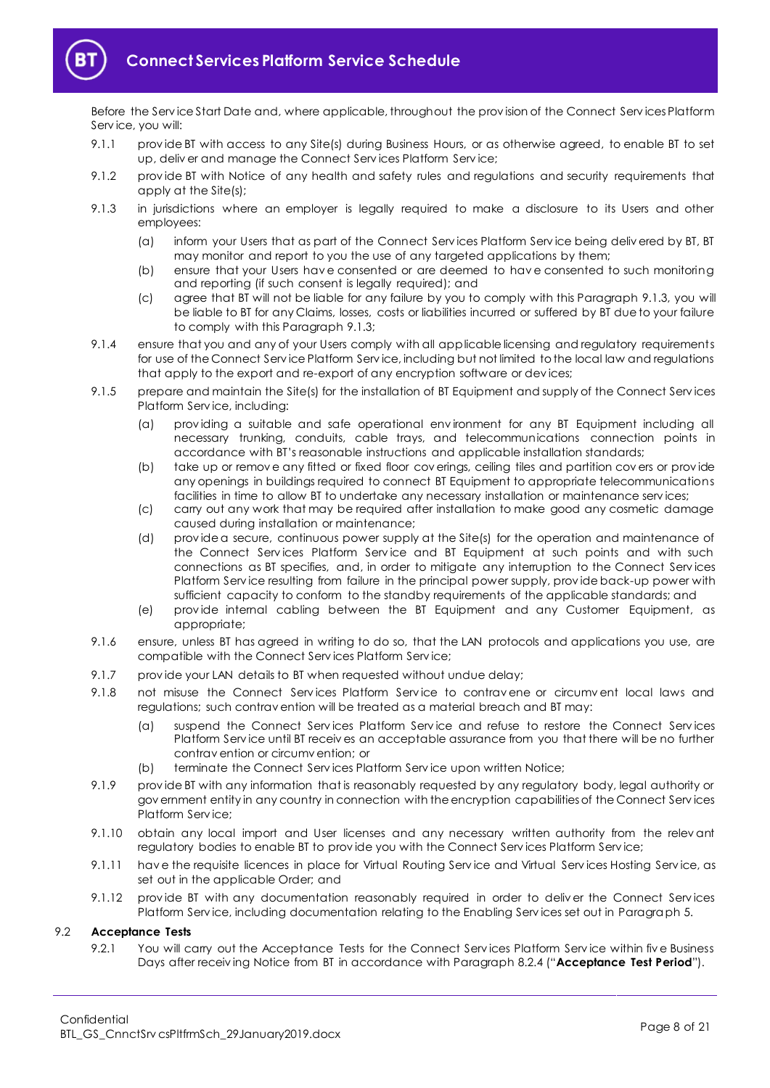

Before the Serv ice Start Date and, where applicable, throughout the prov ision of the Connect Serv ices Platform Serv ice, you will:

- 9.1.1 prov ide BT with access to any Site(s) during Business Hours, or as otherwise agreed, to enable BT to set up, deliv er and manage the Connect Serv ices Platform Serv ice;
- 9.1.2 prov ide BT with Notice of any health and safety rules and regulations and security requirements that apply at the Site(s);
- <span id="page-7-2"></span>9.1.3 in jurisdictions where an employer is legally required to make a disclosure to its Users and other employees:
	- (a) inform your Users that as part of the Connect Serv ices Platform Serv ice being deliv ered by BT, BT may monitor and report to you the use of any targeted applications by them;
	- (b) ensure that your Users hav e consented or are deemed to hav e consented to such monitoring and reporting (if such consent is legally required); and
	- (c) agree that BT will not be liable for any failure by you to comply with this Paragraph [9.1.3,](#page-7-2) you will be liable to BT for any Claims, losses, costs or liabilities incurred or suffered by BT due to your failure to comply with this Paragrap[h 9.1.3;](#page-7-2)
- <span id="page-7-0"></span>9.1.4 ensure that you and any of your Users comply with all applicable licensing and regulatory requirements for use of the Connect Serv ice Platform Serv ice, including but not limited to the local law and regulations that apply to the export and re-export of any encryption software or dev ices;
- 9.1.5 prepare and maintain the Site(s) for the installation of BT Equipment and supply of the Connect Services Platform Serv ice, including:
	- (a) prov iding a suitable and safe operational env ironment for any BT Equipment including all necessary trunking, conduits, cable trays, and telecommunications connection points in accordance with BT's reasonable instructions and applicable installation standards;
	- (b) take up or remov e any fitted or fixed floor cov erings, ceiling tiles and partition cov ers or prov ide any openings in buildings required to connect BT Equipment to appropriate telecommunications facilities in time to allow BT to undertake any necessary installation or maintenance serv ices;
	- (c) carry out any work that may be required after installation to make good any cosmetic damage caused during installation or maintenance;
	- (d) prov ide a secure, continuous power supply at the Site(s) for the operation and maintenance of the Connect Services Platform Service and BT Equipment at such points and with such connections as BT specifies, and, in order to mitigate any interruption to the Connect Serv ices Platform Serv ice resulting from failure in the principal power supply, prov ide back-up power with sufficient capacity to conform to the standby requirements of the applicable standards; and
	- (e) prov ide internal cabling between the BT Equipment and any Customer Equipment, as appropriate;
- 9.1.6 ensure, unless BT has agreed in writing to do so, that the LAN protocols and applications you use, are compatible with the Connect Serv ices Platform Serv ice;
- 9.1.7 provide your LAN details to BT when requested without undue delay;
- 9.1.8 not misuse the Connect Services Platform Service to contravene or circumvent local laws and regulations; such contrav ention will be treated as a material breach and BT may:
	- (a) suspend the Connect Serv ices Platform Serv ice and refuse to restore the Connect Serv ices Platform Serv ice until BT receiv es an acceptable assurance from you that there will be no further contrav ention or circumv ention; or
	- (b) terminate the Connect Serv ices Platform Serv ice upon written Notice;
- 9.1.9 prov ide BT with any information that is reasonably requested by any regulatory body, legal authority or gov ernment entity in any country in connection with the encryption capabilities of the Connect Serv ices Platform Serv ice;
- 9.1.10 obtain any local import and User licenses and any necessary written authority from the relevant regulatory bodies to enable BT to prov ide you with the Connect Serv ices Platform Serv ice;
- 9.1.11 hav e the requisite licences in place for Virtual Routing Serv ice and Virtual Serv ices Hosting Serv ice, as set out in the applicable Order; and
- 9.1.12 provide BT with any documentation reasonably required in order to deliver the Connect Services Platform Serv ice, including documentation relating to the Enabling Serv ices set out in Paragrap[h 5.](#page-2-1)

# <span id="page-7-3"></span><span id="page-7-1"></span>9.2 **Acceptance Tests**

9.2.1 You will carry out the Acceptance Tests for the Connect Services Platform Service within five Business Days after receiv ing Notice from BT in accordance with Paragrap[h 8.2.4](#page-6-4) ("**Acceptance Test Period**").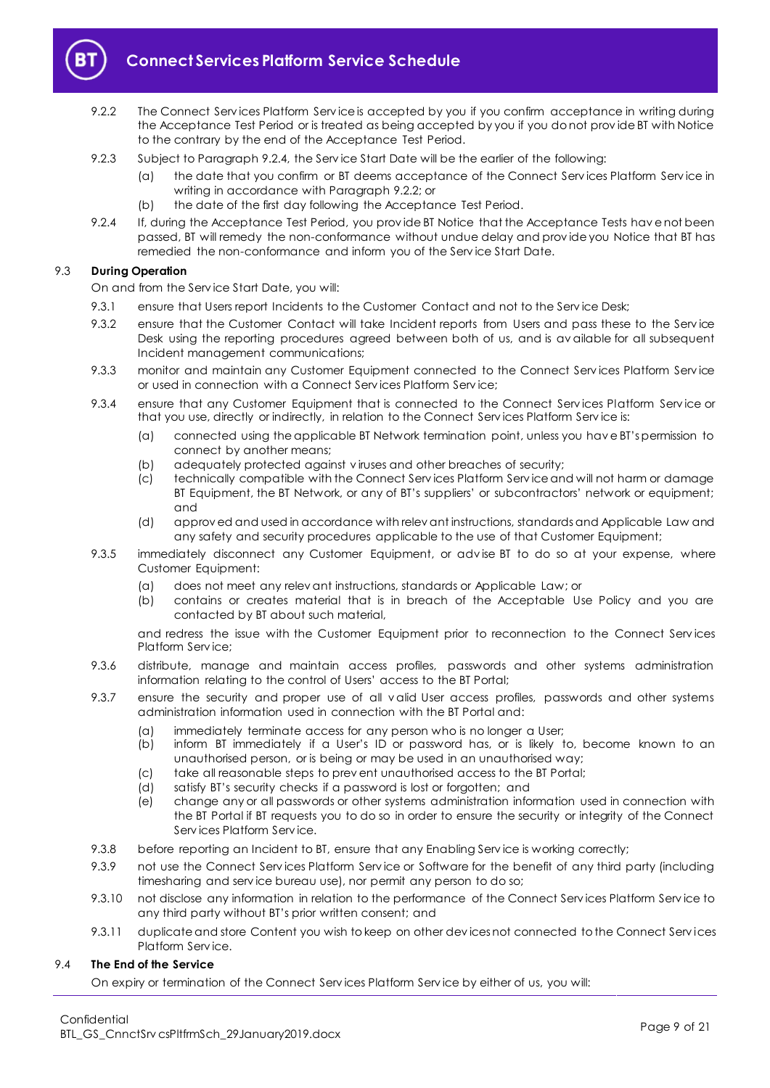

- <span id="page-8-1"></span>9.2.2 The Connect Services Platform Service is accepted by you if you confirm acceptance in writing during the Acceptance Test Period or is treated as being accepted by you if you do not prov ide BT with Notice to the contrary by the end of the Acceptance Test Period.
- 9.2.3 Subject to Paragraph [9.2.4,](#page-8-0) the Serv ice Start Date will be the earlier of the following:
	- (a) the date that you confirm or BT deems acceptance of the Connect Serv ices Platform Serv ice in writing in accordance with Paragrap[h 9.2.2;](#page-8-1) or
	- (b) the date of the first day following the Acceptance Test Period.
- <span id="page-8-0"></span>9.2.4 If, during the Acceptance Test Period, you prov ide BT Notice that the Acceptance Tests hav e not been passed, BT will remedy the non-conformance without undue delay and prov ide you Notice that BT has remedied the non-conformance and inform you of the Serv ice Start Date.

# 9.3 **During Operation**

On and from the Serv ice Start Date, you will:

- 9.3.1 ensure that Users report Incidents to the Customer Contact and not to the Service Desk;
- 9.3.2 ensure that the Customer Contact will take Incident reports from Users and pass these to the Serv ice Desk using the reporting procedures agreed between both of us, and is av ailable for all subsequent Incident management communications;
- 9.3.3 monitor and maintain any Customer Equipment connected to the Connect Services Platform Service or used in connection with a Connect Serv ices Platform Serv ice;
- 9.3.4 ensure that any Customer Equipment that is connected to the Connect Serv ices Platform Serv ice or that you use, directly or indirectly, in relation to the Connect Serv ices Platform Serv ice is:
	- (a) connected using the applicable BT Network termination point, unless you hav e BT's permission to connect by another means;
	- (b) adequately protected against v iruses and other breaches of security;
	- (c) technically compatible with the Connect Serv ices Platform Serv ice and will not harm or damage BT Equipment, the BT Network, or any of BT's suppliers' or subcontractors' network or equipment; and
	- (d) approv ed and used in accordance with relev ant instructions, standards and Applicable Law and any safety and security procedures applicable to the use of that Customer Equipment;
- 9.3.5 immediately disconnect any Customer Equipment, or adv ise BT to do so at your expense, where Customer Equipment:
	- (a) does not meet any relev ant instructions, standards or Applicable Law; or
	- (b) contains or creates material that is in breach of the Acceptable Use Policy and you are contacted by BT about such material,

and redress the issue with the Customer Equipment prior to reconnection to the Connect Serv ices Platform Serv ice;

- 9.3.6 distribute, manage and maintain access profiles, passwords and other systems administration information relating to the control of Users' access to the BT Portal;
- 9.3.7 ensure the security and proper use of all v alid User access profiles, passwords and other systems administration information used in connection with the BT Portal and:
	- (a) immediately terminate access for any person who is no longer a User;
	- (b) inform BT immediately if a User's ID or password has, or is likely to, become known to an unauthorised person, or is being or may be used in an unauthorised way;
	- (c) take all reasonable steps to prev ent unauthorised access to the BT Portal;
	- (d) satisfy BT's security checks if a password is lost or forgotten; and
	- (e) change any or all passwords or other systems administration information used in connection with the BT Portal if BT requests you to do so in order to ensure the security or integrity of the Connect Serv ices Platform Serv ice.
- 9.3.8 before reporting an Incident to BT, ensure that any Enabling Service is working correctly;
- 9.3.9 not use the Connect Serv ices Platform Serv ice or Software for the benefit of any third party (including timesharing and serv ice bureau use), nor permit any person to do so;
- 9.3.10 not disclose any information in relation to the performance of the Connect Serv ices Platform Serv ice to any third party without BT's prior written consent; and
- 9.3.11 duplicate and store Content you wish to keep on other devices not connected to the Connect Services Platform Serv ice.

# 9.4 **The End of the Service**

On expiry or termination of the Connect Serv ices Platform Serv ice by either of us, you will: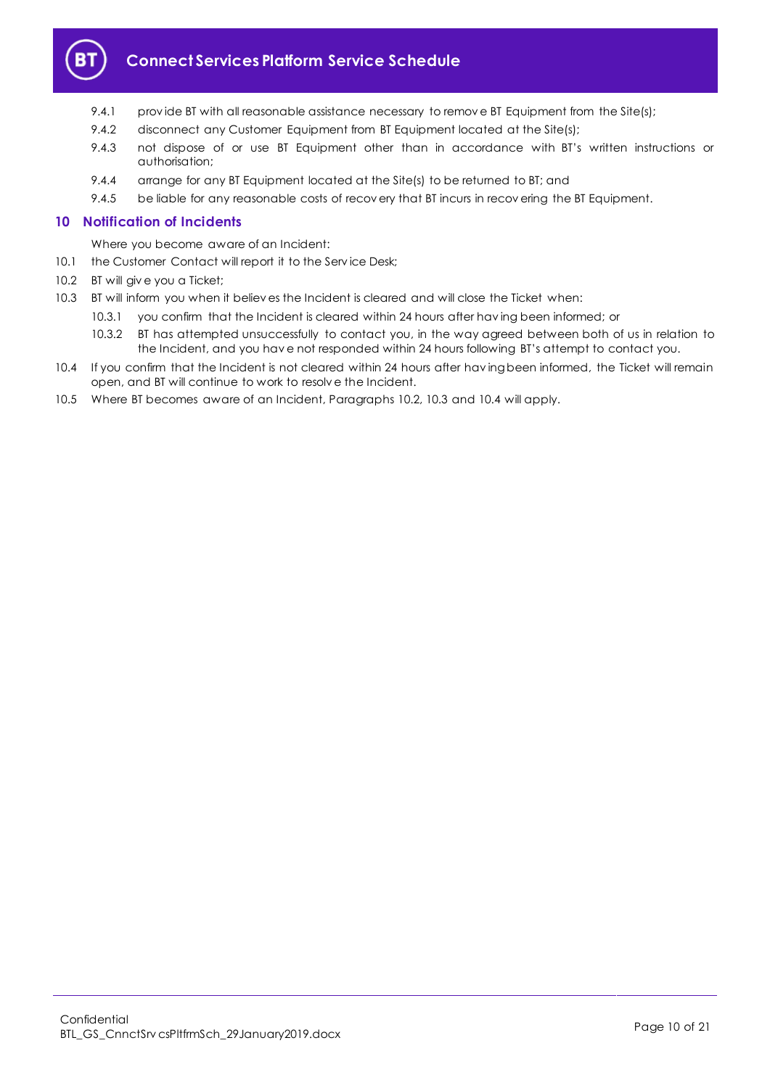

# **Connect Services Platform Service Schedule**

- 9.4.1 provide BT with all reasonable assistance necessary to remove BT Equipment from the Site(s);
- 9.4.2 disconnect any Customer Equipment from BT Equipment located at the Site(s);
- 9.4.3 not dispose of or use BT Equipment other than in accordance with BT's written instructions or authorisation;
- 9.4.4 arrange for any BT Equipment located at the Site(s) to be returned to BT; and
- 9.4.5 be liable for any reasonable costs of recov ery that BT incurs in recov ering the BT Equipment.

# <span id="page-9-0"></span>**10 Notification of Incidents**

Where you become aware of an Incident:

- 10.1 the Customer Contact will report it to the Service Desk;
- <span id="page-9-1"></span>10.2 BT will giv e you a Ticket;
- <span id="page-9-2"></span>10.3 BT will inform you when it believ es the Incident is cleared and will close the Ticket when:
	- 10.3.1 you confirm that the Incident is cleared within 24 hours after hav ing been informed; or
	- 10.3.2 BT has attempted unsuccessfully to contact you, in the way agreed between both of us in relation to the Incident, and you hav e not responded within 24 hours following BT's attempt to contact you.
- <span id="page-9-3"></span>10.4 If you confirm that the Incident is not cleared within 24 hours after hav ing been informed, the Ticket will remain open, and BT will continue to work to resolv e the Incident.
- 10.5 Where BT becomes aware of an Incident, Paragraphs [10.2,](#page-9-1) [10.3](#page-9-2) and [10.4](#page-9-3) will apply.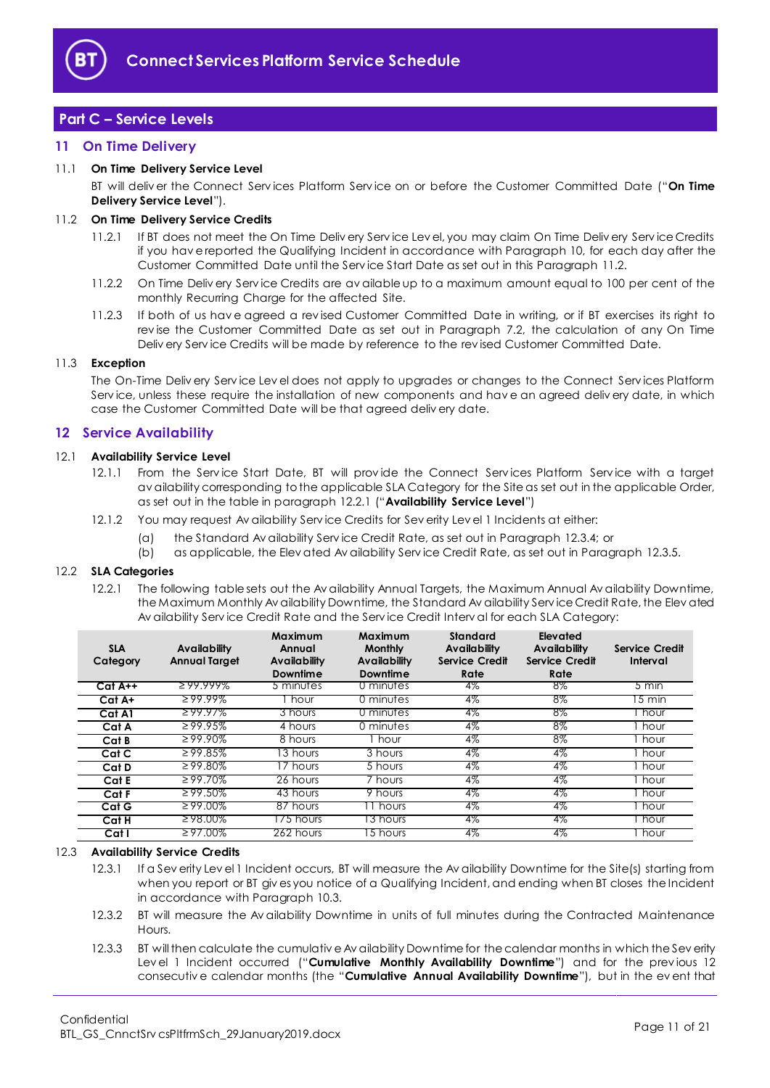

# <span id="page-10-0"></span>**Part C – Service Levels**

### <span id="page-10-1"></span>**11 On Time Delivery**

#### <span id="page-10-8"></span>11.1 **On Time Delivery Service Level**

BT will deliv er the Connect Serv ices Platform Serv ice on or before the Customer Committed Date ("**On Time Delivery Service Level**").

#### <span id="page-10-3"></span>11.2 **On Time Delivery Service Credits**

- 11.2.1 If BT does not meet the On Time Deliv ery Serv ice Lev el, you may claim On Time Deliv ery Serv ice Credits if you hav e reported the Qualifying Incident in accordance with Paragraph [10,](#page-9-0) for each day after the Customer Committed Date until the Serv ice Start Date as set out in this Paragraph [11.2.](#page-10-3)
- 11.2.2 On Time Deliv ery Serv ice Credits are av ailable up to a maximum amount equal to 100 per cent of the monthly Recurring Charge for the affected Site.
- 11.2.3 If both of us hav e agreed a rev ised Customer Committed Date in writing, or if BT exercises its right to rev ise the Customer Committed Date as set out in Paragraph [7.2,](#page-4-2) the calculation of any On Time Deliv ery Serv ice Credits will be made by reference to the rev ised Customer Committed Date.

#### 11.3 **Exception**

The On-Time Deliv ery Serv ice Lev el does not apply to upgrades or changes to the Connect Serv ices Platform Service, unless these require the installation of new components and have an agreed delivery date, in which case the Customer Committed Date will be that agreed deliv ery date.

# <span id="page-10-2"></span>**12 Service Availability**

#### <span id="page-10-5"></span>12.1 **Availability Service Level**

- 12.1.1 From the Service Start Date, BT will provide the Connect Services Platform Service with a target av ailability corresponding to the applicable SLA Category for the Site as set out in the applicable Order, as set out in the table in paragraph [12.2.1](#page-10-4) ("**Availability Service Level**")
- 12.1.2 You may request Av ailability Serv ice Credits for Sev erity Lev el 1 Incidents at either:
	- (a) the Standard Av ailability Serv ice Credit Rate, as set out in Paragraph [12.3.4;](#page-11-1) or
	- (b) as applicable, the Elev ated Av ailability Serv ice Credit Rate, as set out in Paragraph [12.3.5.](#page-11-2)

#### <span id="page-10-4"></span>12.2 **SLA Categories**

12.2.1 The following table sets out the Av ailability Annual Targets, the Maximum Annual Av ailability Downtime, the Maximum Monthly Av ailability Downtime, the Standard Av ailability Serv ice Credit Rate, the Elev ated Av ailability Serv ice Credit Rate and the Serv ice Credit Interv al for each SLA Category:

| <b>SLA</b><br>Category | <b>Availability</b><br><b>Annual Target</b> | Maximum<br>Annual<br><b>Availability</b><br>Downtime | Maximum<br><b>Monthly</b><br>Availability<br>Downtime | <b>Standard</b><br><b>Availability</b><br>Service Credit<br>Rate | Elevated<br>Availability<br><b>Service Credit</b><br>Rate | <b>Service Credit</b><br>Interval |
|------------------------|---------------------------------------------|------------------------------------------------------|-------------------------------------------------------|------------------------------------------------------------------|-----------------------------------------------------------|-----------------------------------|
| $Cat A++$              | $299.999\%$                                 | 5 minutes                                            | 0 minutes                                             | 4%                                                               | 8%                                                        | $5 \text{ min}$                   |
| Cat A+                 | $299.99\%$                                  | hour                                                 | 0 minutes                                             | 4%                                                               | 8%                                                        | 5 min                             |
| Cat A1                 | $299.97\%$                                  | 3 hours                                              | 0 minutes                                             | 4%                                                               | 8%                                                        | l hour                            |
| Cat A                  | $\geq 99.95\%$                              | 4 hours                                              | 0 minutes                                             | $4\%$                                                            | $8\%$                                                     | hour                              |
| Cat B                  | $\geq 99.90\%$                              | 8 hours                                              | l hour                                                | $4\%$                                                            | $8\%$                                                     | 1 hour                            |
| Cat C                  | $\geq 99.85\%$                              | 13 hours                                             | 3 hours                                               | 4%                                                               | 4%                                                        | hour                              |
| Cat D                  | $\geq 99.80\%$                              | 7 hours                                              | $\overline{5}$ hours                                  | $4\%$                                                            | 4%                                                        | hour                              |
| Cat E                  | $\geq 99.70\%$                              | 26 hours                                             | 7 hours                                               | 4%                                                               | $4\%$                                                     | hour .                            |
| Cat F                  | $\geq 99.50\%$                              | 43 hours                                             | $\overline{9}$ hours                                  | $4\%$                                                            | $4\%$                                                     | hour                              |
| Cat G                  | $299.00\%$                                  | 87 hours                                             | Thours                                                | 4%                                                               | 4%                                                        | hour                              |
| Cat H                  | $298.00\%$                                  | 75 hours                                             | 13 hours                                              | 4%                                                               | 4%                                                        | hour                              |
| Cat I                  | $\geq 97.00\%$                              | 262 hours                                            | 5 hours                                               | 4%                                                               | 4%                                                        | hour                              |

#### <span id="page-10-6"></span>12.3 **Availability Service Credits**

- 12.3.1 If a Sev erity Lev el 1 Incident occurs, BT will measure the Av ailability Downtime for the Site(s) starting from when you report or BT giv es you notice of a Qualifying Incident, and ending when BT closes the Incident in accordance with Paragrap[h 10.3.](#page-9-2)
- 12.3.2 BT will measure the Av ailability Downtime in units of full minutes during the Contracted Maintenance Hours.
- <span id="page-10-7"></span>12.3.3 BT will then calculate the cumulativ e Av ailability Downtime for the calendar months in which the Sev erity Level 1 Incident occurred ("Cumulative Monthly Availability Downtime") and for the previous 12 consecutiv e calendar months (the "**Cumulative Annual Availability Downtime**"), but in the ev ent that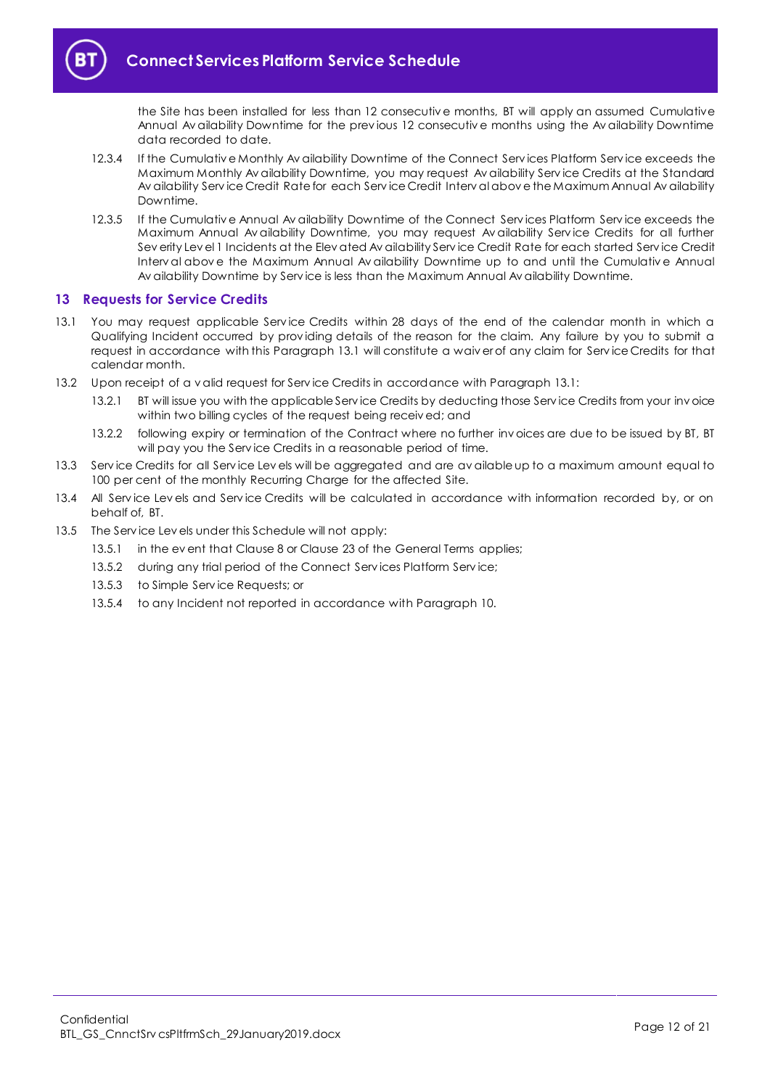the Site has been installed for less than 12 consecutiv e months, BT will apply an assumed Cumulative Annual Av ailability Downtime for the prev ious 12 consecutiv e months using the Av ailability Downtime data recorded to date.

- <span id="page-11-1"></span>12.3.4 If the Cumulativ e Monthly Av ailability Downtime of the Connect Serv ices Platform Serv ice exceeds the Maximum Monthly Av ailability Downtime, you may request Av ailability Serv ice Credits at the Standard Av ailability Serv ice Credit Rate for each Serv ice Credit Interv al abov e the Maximum Annual Av ailability Downtime.
- <span id="page-11-2"></span>12.3.5 If the Cumulativ e Annual Av ailability Downtime of the Connect Serv ices Platform Serv ice exceeds the Maximum Annual Av ailability Downtime, you may request Av ailability Serv ice Credits for all further Sev erity Lev el 1 Incidents at the Elev ated Av ailability Serv ice Credit Rate for each started Serv ice Credit Interv al abov e the Maximum Annual Av ailability Downtime up to and until the Cumulativ e Annual Av ailability Downtime by Serv ice is less than the Maximum Annual Av ailability Downtime.

# <span id="page-11-0"></span>**13 Requests for Service Credits**

- <span id="page-11-3"></span>13.1 You may request applicable Serv ice Credits within 28 days of the end of the calendar month in which a Qualifying Incident occurred by prov iding details of the reason for the claim. Any failure by you to submit a request in accordance with this Paragraph [13.1](#page-11-3) will constitute a waiv er of any claim for Serv ice Credits for that calendar month.
- 13.2 Upon receipt of a v alid request for Serv ice Credits in accordance with Paragrap[h 13.1:](#page-11-3)
	- 13.2.1 BT will issue you with the applicable Service Credits by deducting those Service Credits from your invoice within two billing cycles of the request being receiv ed; and
	- 13.2.2 following expiry or termination of the Contract where no further invoices are due to be issued by BT, BT will pay you the Serv ice Credits in a reasonable period of time.
- 13.3 Serv ice Credits for all Serv ice Lev els will be aggregated and are av ailable up to a maximum amount equal to 100 per cent of the monthly Recurring Charge for the affected Site.
- 13.4 All Service Levels and Service Credits will be calculated in accordance with information recorded by, or on behalf of, BT.
- 13.5 The Serv ice Lev els under this Schedule will not apply:
	- 13.5.1 in the ev ent that Clause 8 or Clause 23 of the General Terms applies;
	- 13.5.2 during any trial period of the Connect Services Platform Service;
	- 13.5.3 to Simple Serv ice Requests; or
	- 13.5.4 to any Incident not reported in accordance with Paragrap[h 10.](#page-9-0)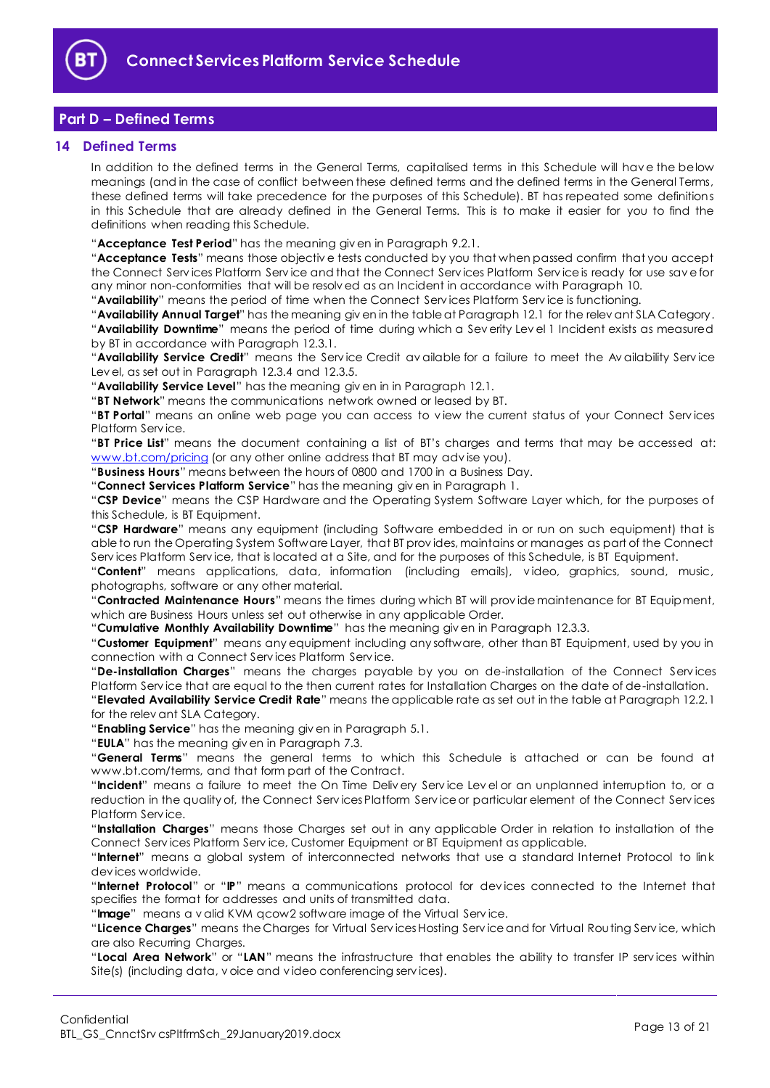

# <span id="page-12-0"></span>**Part D – Defined Terms**

#### <span id="page-12-1"></span>**14 Defined Terms**

In addition to the defined terms in the General Terms, capitalised terms in this Schedule will hav e the below meanings (and in the case of conflict between these defined terms and the defined terms in the General Terms, these defined terms will take precedence for the purposes of this Schedule). BT has repeated some definitions in this Schedule that are already defined in the General Terms. This is to make it easier for you to find the definitions when reading this Schedule.

"**Acceptance Test Period**" has the meaning giv en in Paragrap[h 9.2.1.](#page-7-3)

"**Acceptance Tests**" means those objectiv e tests conducted by you that when passed confirm that you accept the Connect Serv ices Platform Serv ice and that the Connect Serv ices Platform Serv ice is ready for use sav e for any minor non-conformities that will be resolv ed as an Incident in accordance with Paragrap[h 10.](#page-9-0)

"**Availability**" means the period of time when the Connect Serv ices Platform Serv ice is functioning.

"**Availability Annual Target**" has the meaning giv en in the table at Paragraph [12.1](#page-10-5) for the relev ant SLA Category. "**Availability Downtime**" means the period of time during which a Sev erity Lev el 1 Incident exists as measured by BT in accordance with Paragraph [12.3.1.](#page-10-6)

"**Availability Service Credit**" means the Serv ice Credit av ailable for a failure to meet the Av ailability Serv ice Lev el, as set out in Paragraph [12.3.4](#page-11-1) an[d 12.3.5.](#page-11-2)

"**Availability Service Level**" has the meaning giv en in in Paragraph [12.1.](#page-10-5)

"**BT Network**" means the communications network owned or leased by BT.

"**BT Portal**" means an online web page you can access to v iew the current status of your Connect Serv ices Platform Serv ice.

"**BT Price List**" means the document containing a list of BT's charges and terms that may be accessed at: [www.bt.com/pricing](http://www.bt.com/pricing) (or any other online address that BT may advise you).

"**Business Hours**" means between the hours of 0800 and 1700 in a Business Day.

"**Connect Services Platform Service**" has the meaning giv en in Paragrap[h 1.](#page-1-3)

"**CSP Device**" means the CSP Hardware and the Operating System Software Layer which, for the purposes of this Schedule, is BT Equipment.

"**CSP Hardware**" means any equipment (including Software embedded in or run on such equipment) that is able to run the Operating System Software Layer, that BT prov ides, maintains or manages as part of the Connect Serv ices Platform Serv ice, that is located at a Site, and for the purposes of this Schedule, is BT Equipment.

"**Content**" means applications, data, information (including emails), v ideo, graphics, sound, music, photographs, software or any other material.

"**Contracted Maintenance Hours**" means the times during which BT will prov ide maintenance for BT Equipment, which are Business Hours unless set out otherwise in any applicable Order.

"**Cumulative Monthly Availability Downtime**" has the meaning giv en in Paragrap[h 12.3.3.](#page-10-7)

"**Customer Equipment**" means any equipment including any software, other than BT Equipment, used by you in connection with a Connect Serv ices Platform Serv ice.

"**De-installation Charges**" means the charges payable by you on de-installation of the Connect Serv ices Platform Serv ice that are equal to the then current rates for Installation Charges on the date of de-installation.

"**Elevated Availability Service Credit Rate**" means the applicable rate as set out in the table at Paragraph [12.2.1](#page-10-4) for the relev ant SLA Category.

"**Enabling Service**" has the meaning giv en in Paragrap[h 5.1.](#page-2-6)

"**EULA**" has the meaning giv en in Paragraph [7.3.](#page-4-3)

"**General Terms**" means the general terms to which this Schedule is attached or can be found at www.bt.com/terms, and that form part of the Contract.

"**Incident**" means a failure to meet the On Time Deliv ery Serv ice Lev el or an unplanned interruption to, or a reduction in the quality of, the Connect Serv ices Platform Serv ice or particular element of the Connect Serv ices Platform Serv ice.

"**Installation Charges**" means those Charges set out in any applicable Order in relation to installation of the Connect Serv ices Platform Serv ice, Customer Equipment or BT Equipment as applicable.

"**Internet**" means a global system of interconnected networks that use a standard Internet Protocol to link dev ices worldwide.

"**Internet Protocol**" or "**IP**" means a communications protocol for dev ices connected to the Internet that specifies the format for addresses and units of transmitted data.

"**Image**" means a v alid KVM qcow2 software image of the Virtual Serv ice.

"**Licence Charges**" means the Charges for Virtual Serv ices Hosting Serv ice and for Virtual Routing Serv ice, which are also Recurring Charges.

"**Local Area Network**" or "**LAN**" means the infrastructure that enables the ability to transfer IP serv ices within Site(s) (including data, v oice and v ideo conferencing serv ices).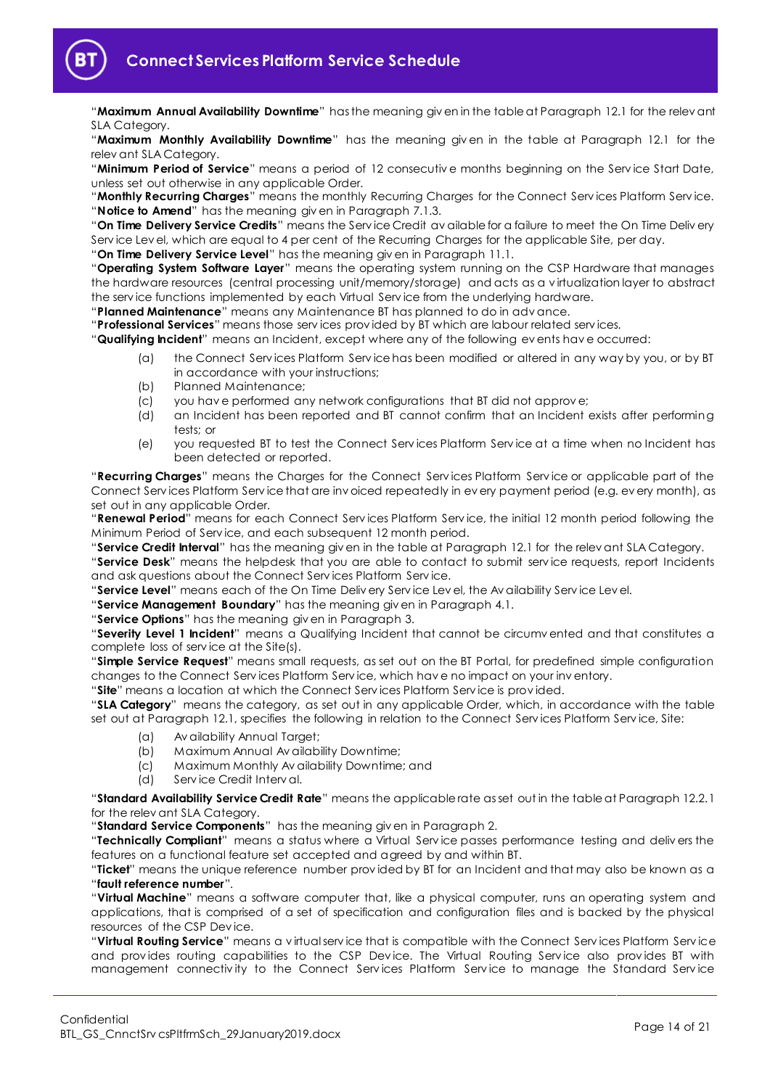

"**Maximum Annual Availability Downtime**" has the meaning giv en in the table at Paragraph [12.1](#page-10-5) for the relev ant SLA Category.

"**Maximum Monthly Availability Downtime**" has the meaning giv en in the table at Paragraph [12.1](#page-10-5) for the relev ant SLA Category.

"**Minimum Period of Service**" means a period of 12 consecutiv e months beginning on the Serv ice Start Date, unless set out otherwise in any applicable Order.

"**Monthly Recurring Charges**" means the monthly Recurring Charges for the Connect Serv ices Platform Serv ice. "**Notice to Amend**" has the meaning giv en in Paragraph [7.1.3.](#page-3-3)

"**On Time Delivery Service Credits**" means the Serv ice Credit av ailable for a failure to meet the On Time Deliv ery Serv ice Lev el, which are equal to 4 per cent of the Recurring Charges for the applicable Site, per day.

"**On Time Delivery Service Level**" has the meaning giv en in Paragrap[h 11.1.](#page-10-8)

"**Operating System Software Layer**" means the operating system running on the CSP Hardware that manages the hardware resources (central processing unit/memory/storage) and acts as a v irtualization layer to abstract the serv ice functions implemented by each Virtual Serv ice from the underlying hardware.

"**Planned Maintenance**" means any Maintenance BT has planned to do in adv ance.

"**Professional Services**" means those serv ices prov ided by BT which are labour related serv ices.

"**Qualifying Incident**" means an Incident, except where any of the following ev ents hav e occurred:

- (a) the Connect Serv ices Platform Serv ice has been modified or altered in any way by you, or by BT in accordance with your instructions;
- (b) Planned Maintenance;
- (c) you hav e performed any network configurations that BT did not approv e;
- (d) an Incident has been reported and BT cannot confirm that an Incident exists after performing tests; or
- (e) you requested BT to test the Connect Serv ices Platform Serv ice at a time when no Incident has been detected or reported.

"**Recurring Charges**" means the Charges for the Connect Serv ices Platform Serv ice or applicable part of the Connect Serv ices Platform Serv ice that are inv oiced repeatedly in ev ery payment period (e.g. ev ery month), as set out in any applicable Order.

"**Renewal Period**" means for each Connect Serv ices Platform Serv ice, the initial 12 month period following the Minimum Period of Serv ice, and each subsequent 12 month period.

"**Service Credit Interval**" has the meaning giv en in the table at Paragraph [12.1](#page-10-5) for the relev ant SLA Category.

"**Service Desk**" means the helpdesk that you are able to contact to submit serv ice requests, report Incidents and ask questions about the Connect Serv ices Platform Serv ice.

"**Service Level**" means each of the On Time Deliv ery Serv ice Lev el, the Av ailability Serv ice Lev el.

"**Service Management Boundary**" has the meaning giv en in Paragrap[h 4.1.](#page-2-7)

"**Service Options**" has the meaning giv en in Paragrap[h 3.](#page-1-5)

"**Severity Level 1 Incident**" means a Qualifying Incident that cannot be circumv ented and that constitutes a complete loss of serv ice at the Site(s).

"**Simple Service Request**" means small requests, as set out on the BT Portal, for predefined simple configuration changes to the Connect Serv ices Platform Serv ice, which hav e no impact on your inv entory.

"**Site**" means a location at which the Connect Serv ices Platform Serv ice is prov ided.

"**SLA Category**" means the category, as set out in any applicable Order, which, in accordance with the table set out at Paragrap[h 12.1,](#page-10-5) specifies the following in relation to the Connect Serv ices Platform Serv ice, Site:

- (a) Av ailability Annual Target;
- (b) Maximum Annual Av ailability Downtime;
- (c) Maximum Monthly Av ailability Downtime; and
- (d) Serv ice Credit Interv al.

"**Standard Availability Service Credit Rate**" means the applicable rate as set out in the table at Paragraph [12.2.1](#page-10-4) for the relev ant SLA Category.

"**Standard Service Components**" has the meaning giv en in Paragraph [2.](#page-1-4)

"**Technically Compliant**" means a status where a Virtual Serv ice passes performance testing and deliv ers the features on a functional feature set accepted and agreed by and within BT.

"**Ticket**" means the unique reference number prov ided by BT for an Incident and that may also be known as a "**fault reference number**".

"**Virtual Machine**" means a software computer that, like a physical computer, runs an operating system and applications, that is comprised of a set of specification and configuration files and is backed by the physical resources of the CSP Dev ice.

"**Virtual Routing Service**" means a v irtual serv ice that is compatible with the Connect Serv ices Platform Serv ice and provides routing capabilities to the CSP Device. The Virtual Routing Service also provides BT with management connectiv ity to the Connect Serv ices Platform Serv ice to manage the Standard Serv ice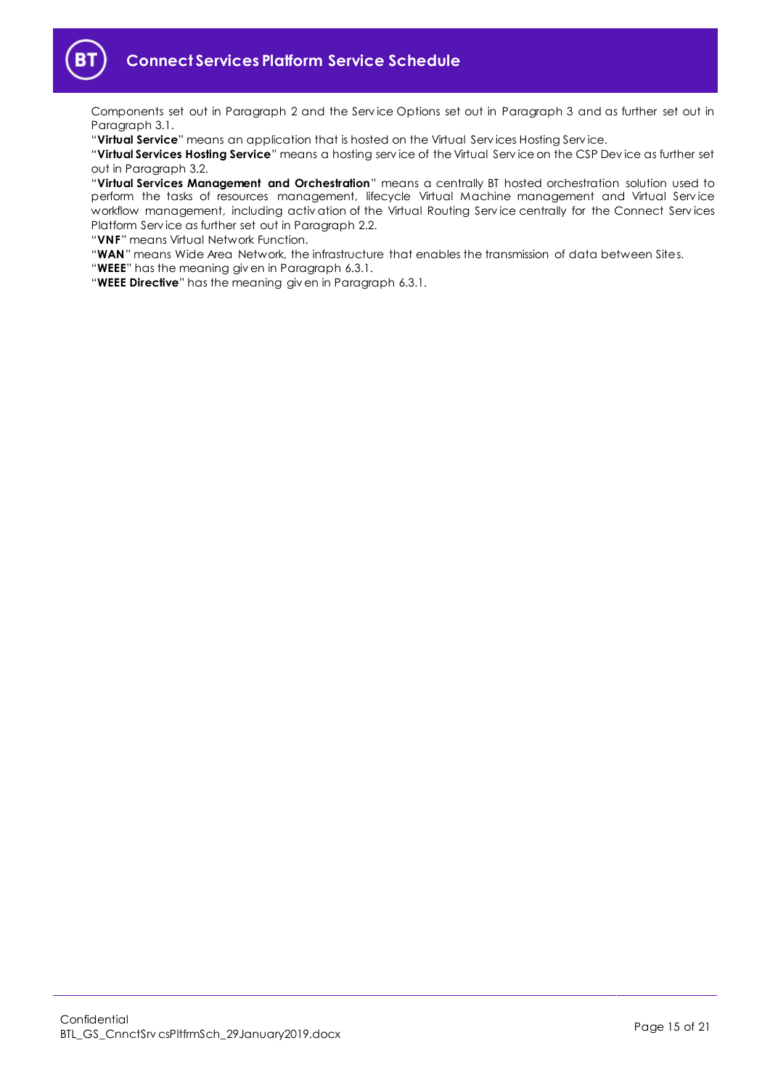

Components set out in Paragraph [2](#page-1-4) and the Serv ice Options set out in Paragraph [3](#page-1-5) and as further set out in Paragraph [3.1.](#page-1-6)

"**Virtual Service**" means an application that is hosted on the Virtual Serv ices Hosting Serv ice.

"**Virtual Services Hosting Service**" means a hosting serv ice of the Virtual Serv ice on the CSP Dev ice as further set out in Paragraph [3.2.](#page-2-8)

"**Virtual Services Management and Orchestration**" means a centrally BT hosted orchestration solution used to perform the tasks of resources management, lifecycle Virtual Machine management and Virtual Serv ice workflow management, including activ ation of the Virtual Routing Serv ice centrally for the Connect Serv ices Platform Serv ice as further set out in Paragraph [2.2.](#page-1-7)

"**VNF**" means Virtual Network Function.

"**WAN**" means Wide Area Network, the infrastructure that enables the transmission of data between Sites.

"**WEEE**" has the meaning giv en in Paragraph [6.3.1.](#page-3-4)

"**WEEE Directive**" has the meaning giv en in Paragrap[h 6.3.1.](#page-3-4)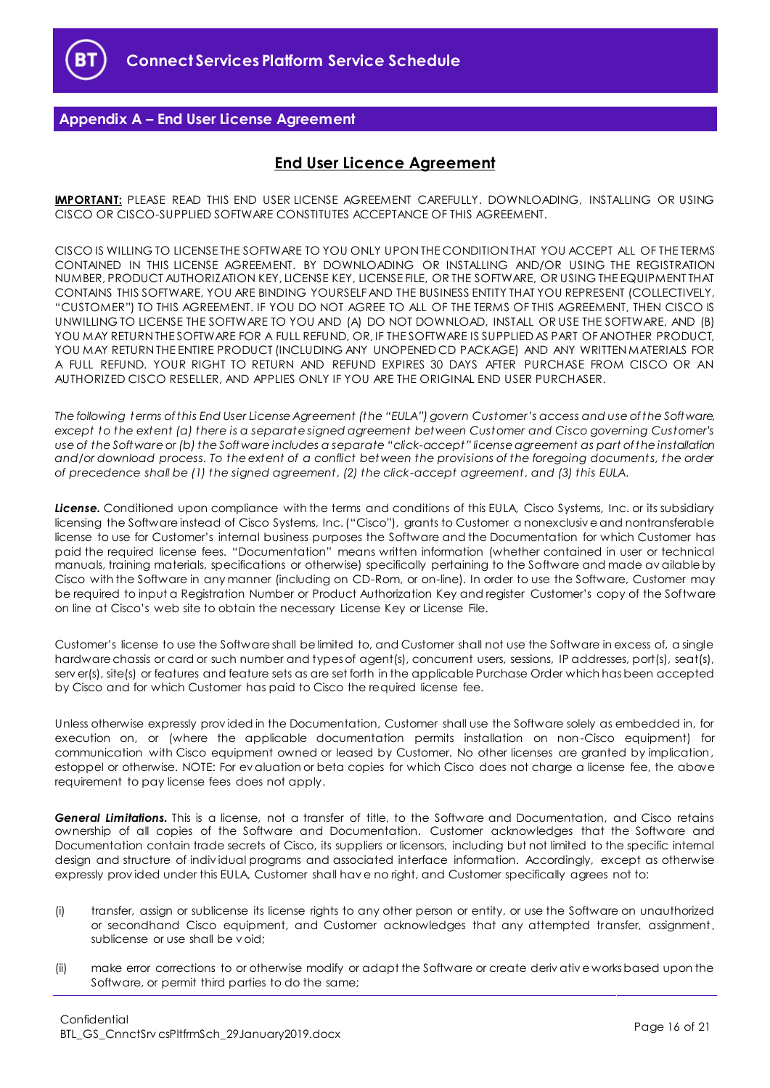

# <span id="page-15-0"></span>**Appendix A – End User License Agreement**

# **End User Licence Agreement**

**IMPORTANT:** PLEASE READ THIS END USER LICENSE AGREEMENT CAREFULLY. DOWNLOADING, INSTALLING OR USING CISCO OR CISCO-SUPPLIED SOFTWARE CONSTITUTES ACCEPTANCE OF THIS AGREEMENT.

CISCO IS WILLING TO LICENSE THE SOFTWARE TO YOU ONLY UPON THE CONDITION THAT YOU ACCEPT ALL OF THE TERMS CONTAINED IN THIS LICENSE AGREEMENT. BY DOWNLOADING OR INSTALLING AND/OR USING THE REGISTRATION NUMBER, PRODUCT AUTHORIZATION KEY, LICENSE KEY, LICENSE FILE, OR THE SOFTWARE, OR USING THE EQUIPMENT THAT CONTAINS THIS SOFTWARE, YOU ARE BINDING YOURSELF AND THE BUSINESS ENTITY THAT YOU REPRESENT (COLLECTIVELY, "CUSTOMER") TO THIS AGREEMENT. IF YOU DO NOT AGREE TO ALL OF THE TERMS OF THIS AGREEMENT, THEN CISCO IS UNWILLING TO LICENSE THE SOFTWARE TO YOU AND (A) DO NOT DOWNLOAD, INSTALL OR USE THE SOFTWARE, AND (B) YOU MAY RETURN THE SOFTWARE FOR A FULL REFUND, OR, IF THE SOFTWARE IS SUPPLIED AS PART OF ANOTHER PRODUCT, YOU MAY RETURN THE ENTIRE PRODUCT (INCLUDING ANY UNOPENED CD PACKAGE) AND ANY WRITTEN MATERIALS FOR A FULL REFUND. YOUR RIGHT TO RETURN AND REFUND EXPIRES 30 DAYS AFTER PURCHASE FROM CISCO OR AN AUTHORIZED CISCO RESELLER, AND APPLIES ONLY IF YOU ARE THE ORIGINAL END USER PURCHASER.

*The following terms of this End User License Agreement (the "EULA") govern Customer's access and use of the Software, except to the extent (a) there is a separate signed agreement between Customer and Cisco governing Customer's use of the Software or (b) the Software includes a separate "click-accept " license agreement as part of the installation*  and/or download process. To the extent of a conflict between the provisions of the foregoing documents, the order *of precedence shall be (1) the signed agreement, (2) the click-accept agreement, and (3) this EULA.*

*License.* Conditioned upon compliance with the terms and conditions of this EULA, Cisco Systems, Inc. or its subsidiary licensing the Software instead of Cisco Systems, Inc. ("Cisco"), grants to Customer a nonexclusiv e and nontransferable license to use for Customer's internal business purposes the Software and the Documentation for which Customer has paid the required license fees. "Documentation" means written information (whether contained in user or technical manuals, training materials, specifications or otherwise) specifically pertaining to the Software and made av ailable by Cisco with the Software in any manner (including on CD-Rom, or on-line). In order to use the Software, Customer may be required to input a Registration Number or Product Authorization Key and register Customer's copy of the Software on line at Cisco's web site to obtain the necessary License Key or License File.

Customer's license to use the Software shall be limited to, and Customer shall not use the Software in excess of, a single hardware chassis or card or such number and types of agent(s), concurrent users, sessions, IP addresses, port(s), seat(s), serv er(s), site(s) or features and feature sets as are set forth in the applicable Purchase Order which has been accepted by Cisco and for which Customer has paid to Cisco the required license fee.

Unless otherwise expressly prov ided in the Documentation, Customer shall use the Software solely as embedded in, for execution on, or (where the applicable documentation permits installation on non-Cisco equipment) for communication with Cisco equipment owned or leased by Customer. No other licenses are granted by implication, estoppel or otherwise. NOTE: For ev aluation or beta copies for which Cisco does not charge a license fee, the above requirement to pay license fees does not apply.

*General Limitations.* This is a license, not a transfer of title, to the Software and Documentation, and Cisco retains ownership of all copies of the Software and Documentation. Customer acknowledges that the Software and Documentation contain trade secrets of Cisco, its suppliers or licensors, including but not limited to the specific internal design and structure of indiv idual programs and associated interface information. Accordingly, except as otherwise expressly prov ided under this EULA, Customer shall hav e no right, and Customer specifically agrees not to:

- (i) transfer, assign or sublicense its license rights to any other person or entity, or use the Software on unauthorized or secondhand Cisco equipment, and Customer acknowledges that any attempted transfer, assignment, sublicense or use shall be v oid;
- (ii) make error corrections to or otherwise modify or adapt the Software or create deriv ativ e works based upon the Software, or permit third parties to do the same;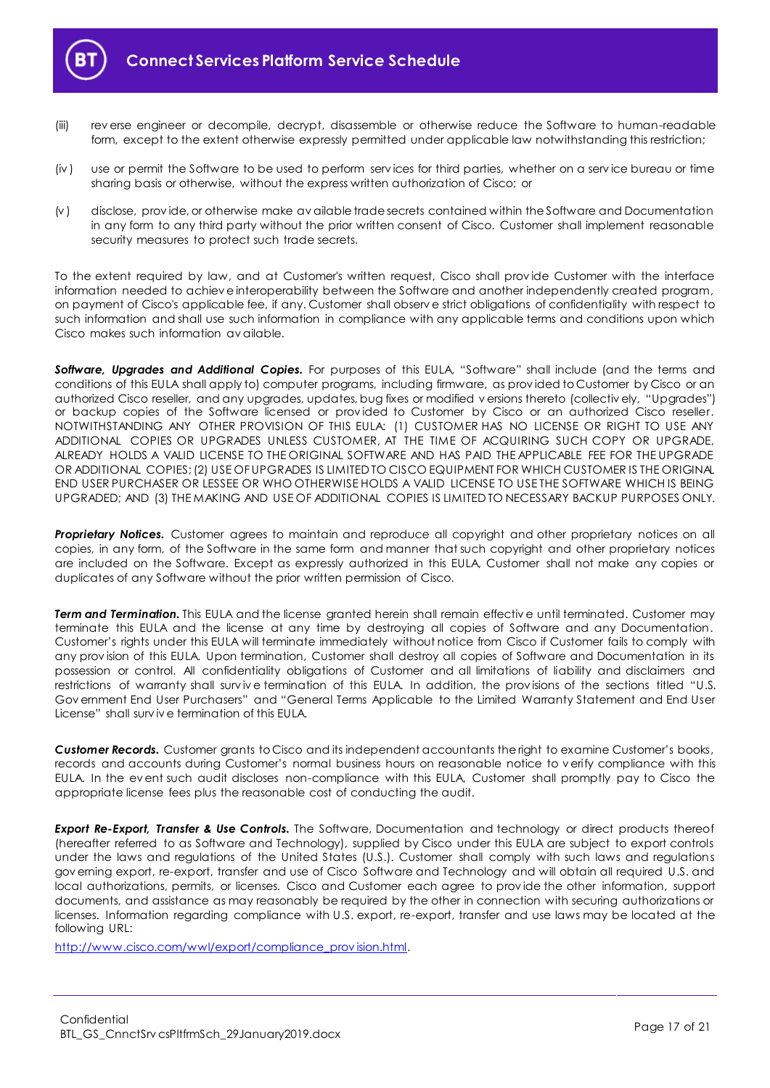

- (iii) rev erse engineer or decompile, decrypt, disassemble or otherwise reduce the Software to human-readable form, except to the extent otherwise expressly permitted under applicable law notwithstanding this restriction;
- (iv ) use or permit the Software to be used to perform serv ices for third parties, whether on a serv ice bureau or time sharing basis or otherwise, without the express written authorization of Cisco; or
- (v ) disclose, prov ide, or otherwise make av ailable trade secrets contained within the Software and Documentation in any form to any third party without the prior written consent of Cisco. Customer shall implement reasonable security measures to protect such trade secrets.

To the extent required by law, and at Customer's written request, Cisco shall prov ide Customer with the interface information needed to achiev e interoperability between the Software and another independently created program, on payment of Cisco's applicable fee, if any. Customer shall observ e strict obligations of confidentiality with respect to such information and shall use such information in compliance with any applicable terms and conditions upon which Cisco makes such information av ailable.

*Software, Upgrades and Additional Copies.* For purposes of this EULA, "Software" shall include (and the terms and conditions of this EULA shall apply to) computer programs, including firmware, as prov ided to Customer by Cisco or an authorized Cisco reseller, and any upgrades, updates, bug fixes or modified v ersions thereto (collectiv ely, "Upgrades") or backup copies of the Software licensed or prov ided to Customer by Cisco or an authorized Cisco reseller. NOTWITHSTANDING ANY OTHER PROVISION OF THIS EULA: (1) CUSTOMER HAS NO LICENSE OR RIGHT TO USE ANY ADDITIONAL COPIES OR UPGRADES UNLESS CUSTOMER, AT THE TIME OF ACQUIRING SUCH COPY OR UPGRADE, ALREADY HOLDS A VALID LICENSE TO THE ORIGINAL SOFTWARE AND HAS PAID THE APPLICABLE FEE FOR THE UPGRADE OR ADDITIONAL COPIES; (2) USE OF UPGRADES IS LIMITED TO CISCO EQUIPMENT FOR WHICH CUSTOMER IS THE ORIGINAL END USER PURCHASER OR LESSEE OR WHO OTHERWISE HOLDS A VALID LICENSE TO USE THE SOFTWARE WHICH IS BEING UPGRADED; AND (3) THE MAKING AND USE OF ADDITIONAL COPIES IS LIMITED TO NECESSARY BACKUP PURPOSES ONLY.

*Proprietary Notices.* Customer agrees to maintain and reproduce all copyright and other proprietary notices on all copies, in any form, of the Software in the same form and manner that such copyright and other proprietary notices are included on the Software. Except as expressly authorized in this EULA, Customer shall not make any copies or duplicates of any Software without the prior written permission of Cisco.

**Term and Termination.** This EULA and the license granted herein shall remain effective until terminated. Customer may terminate this EULA and the license at any time by destroying all copies of Software and any Documentation. Customer's rights under this EULA will terminate immediately without notice from Cisco if Customer fails to comply with any prov ision of this EULA. Upon termination, Customer shall destroy all copies of Software and Documentation in its possession or control. All confidentiality obligations of Customer and all limitations of liability and disclaimers and restrictions of warranty shall survive termination of this EULA. In addition, the provisions of the sections titled "U.S. Gov ernment End User Purchasers" and "General Terms Applicable to the Limited Warranty Statement and End User License" shall surv iv e termination of this EULA.

*Customer Records.* Customer grants to Cisco and its independent accountants the right to examine Customer's books, records and accounts during Customer's normal business hours on reasonable notice to v erify compliance with this EULA. In the ev ent such audit discloses non-compliance with this EULA, Customer shall promptly pay to Cisco the appropriate license fees plus the reasonable cost of conducting the audit.

*Export Re-Export, Transfer & Use Controls.* The Software, Documentation and technology or direct products thereof (hereafter referred to as Software and Technology), supplied by Cisco under this EULA are subject to export controls under the laws and regulations of the United States (U.S.). Customer shall comply with such laws and regulations gov erning export, re-export, transfer and use of Cisco Software and Technology and will obtain all required U.S. and local authorizations, permits, or licenses. Cisco and Customer each agree to prov ide the other information, support documents, and assistance as may reasonably be required by the other in connection with securing authorizations or licenses. Information regarding compliance with U.S. export, re-export, transfer and use laws may be located at the following URL:

[http://www.cisco.com/wwl/export/compliance\\_prov ision.html.](http://www.cisco.com/wwl/export/compliance_provision.html)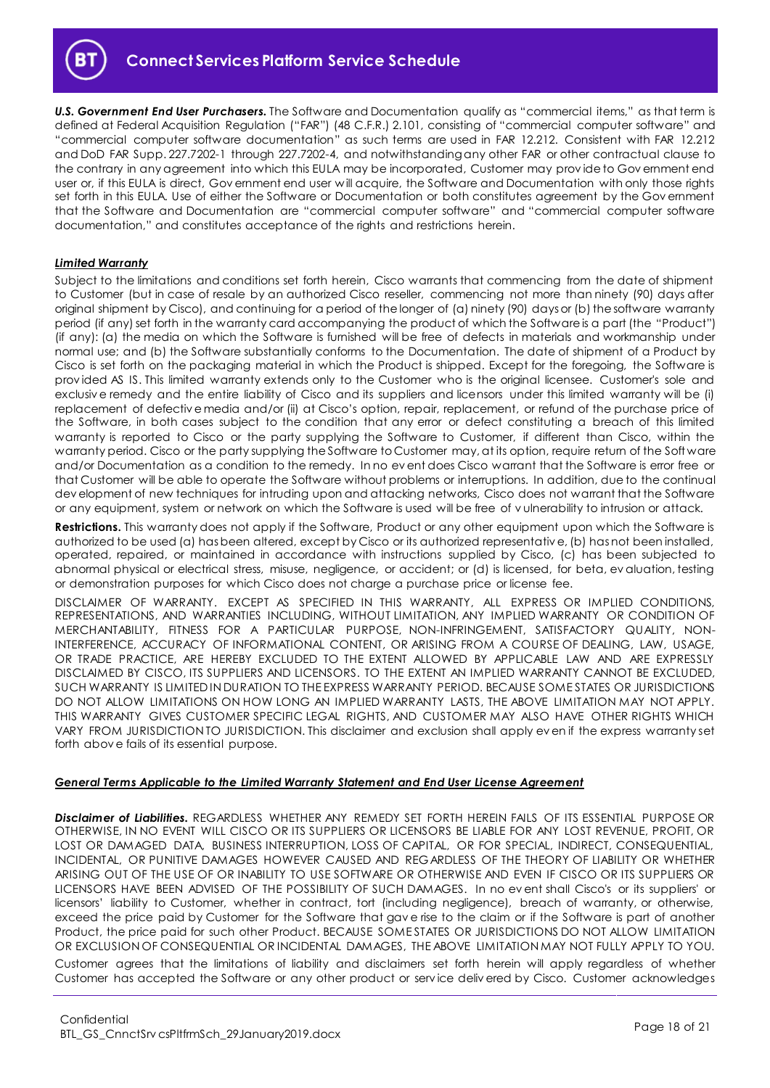

*U.S. Government End User Purchasers.* The Software and Documentation qualify as "commercial items," as that term is defined at Federal Acquisition Regulation ("FAR") (48 C.F.R.) 2.101, consisting of "commercial computer software" and "commercial computer software documentation" as such terms are used in FAR 12.212. Consistent with FAR 12.212 and DoD FAR Supp. 227.7202-1 through 227.7202-4, and notwithstanding any other FAR or other contractual clause to the contrary in any agreement into which this EULA may be incorporated, Customer may prov ide to Gov ernment end user or, if this EULA is direct, Gov ernment end user will acquire, the Software and Documentation with only those rights set forth in this EULA. Use of either the Software or Documentation or both constitutes agreement by the Gov ernment that the Software and Documentation are "commercial computer software" and "commercial computer software documentation," and constitutes acceptance of the rights and restrictions herein.

#### *Limited Warranty*

Subject to the limitations and conditions set forth herein, Cisco warrants that commencing from the date of shipment to Customer (but in case of resale by an authorized Cisco reseller, commencing not more than ninety (90) days after original shipment by Cisco), and continuing for a period of the longer of (a) ninety (90) days or (b) the software warranty period (if any) set forth in the warranty card accompanying the product of which the Software is a part (the "Product") (if any): (a) the media on which the Software is furnished will be free of defects in materials and workmanship under normal use; and (b) the Software substantially conforms to the Documentation. The date of shipment of a Product by Cisco is set forth on the packaging material in which the Product is shipped. Except for the foregoing, the Software is prov ided AS IS. This limited warranty extends only to the Customer who is the original licensee. Customer's sole and exclusiv e remedy and the entire liability of Cisco and its suppliers and licensors under this limited warranty will be (i) replacement of defectiv e media and/or (ii) at Cisco's option, repair, replacement, or refund of the purchase price of the Software, in both cases subject to the condition that any error or defect constituting a breach of this limited warranty is reported to Cisco or the party supplying the Software to Customer, if different than Cisco, within the warranty period. Cisco or the party supplying the Software to Customer may, at its option, require return of the Soft ware and/or Documentation as a condition to the remedy. In no ev ent does Cisco warrant that the Software is error free or that Customer will be able to operate the Software without problems or interruptions. In addition, due to the continual dev elopment of new techniques for intruding upon and attacking networks, Cisco does not warrant that the Software or any equipment, system or network on which the Software is used will be free of v ulnerability to intrusion or attack.

**Restrictions.** This warranty does not apply if the Software, Product or any other equipment upon which the Software is authorized to be used (a) has been altered, except by Cisco or its authorized representativ e, (b) has not been installed, operated, repaired, or maintained in accordance with instructions supplied by Cisco, (c) has been subjected to abnormal physical or electrical stress, misuse, negligence, or accident; or (d) is licensed, for beta, ev aluation, testing or demonstration purposes for which Cisco does not charge a purchase price or license fee.

DISCLAIMER OF WARRANTY. EXCEPT AS SPECIFIED IN THIS WARRANTY, ALL EXPRESS OR IMPLIED CONDITIONS, REPRESENTATIONS, AND WARRANTIES INCLUDING, WITHOUT LIMITATION, ANY IMPLIED WARRANTY OR CONDITION OF MERCHANTABILITY, FITNESS FOR A PARTICULAR PURPOSE, NON-INFRINGEMENT, SATISFACTORY QUALITY, NON-INTERFERENCE, ACCURACY OF INFORMATIONAL CONTENT, OR ARISING FROM A COURSE OF DEALING, LAW, USAGE, OR TRADE PRACTICE, ARE HEREBY EXCLUDED TO THE EXTENT ALLOWED BY APPLICABLE LAW AND ARE EXPRESSLY DISCLAIMED BY CISCO, ITS SUPPLIERS AND LICENSORS. TO THE EXTENT AN IMPLIED WARRANTY CANNOT BE EXCLUDED, SUCH WARRANTY IS LIMITED IN DURATION TO THE EXPRESS WARRANTY PERIOD. BECAUSE SOME STATES OR JURISDICTIONS DO NOT ALLOW LIMITATIONS ON HOW LONG AN IMPLIED WARRANTY LASTS, THE ABOVE LIMITATION MAY NOT APPLY. THIS WARRANTY GIVES CUSTOMER SPECIFIC LEGAL RIGHTS, AND CUSTOMER MAY ALSO HAVE OTHER RIGHTS WHICH VARY FROM JURISDICTION TO JURISDICTION. This disclaimer and exclusion shall apply ev en if the express warranty set forth abov e fails of its essential purpose.

#### *General Terms Applicable to the Limited Warranty Statement and End User License Agreement*

*Disclaimer of Liabilities.* REGARDLESS WHETHER ANY REMEDY SET FORTH HEREIN FAILS OF ITS ESSENTIAL PURPOSE OR OTHERWISE, IN NO EVENT WILL CISCO OR ITS SUPPLIERS OR LICENSORS BE LIABLE FOR ANY LOST REVENUE, PROFIT, OR LOST OR DAMAGED DATA, BUSINESS INTERRUPTION, LOSS OF CAPITAL, OR FOR SPECIAL, INDIRECT, CONSEQUENTIAL, INCIDENTAL, OR PUNITIVE DAMAGES HOWEVER CAUSED AND REGARDLESS OF THE THEORY OF LIABILITY OR WHETHER ARISING OUT OF THE USE OF OR INABILITY TO USE SOFTWARE OR OTHERWISE AND EVEN IF CISCO OR ITS SUPPLIERS OR LICENSORS HAVE BEEN ADVISED OF THE POSSIBILITY OF SUCH DAMAGES. In no ev ent shall Cisco's or its suppliers' or licensors' liability to Customer, whether in contract, tort (including negligence), breach of warranty, or otherwise, exceed the price paid by Customer for the Software that gav e rise to the claim or if the Software is part of another Product, the price paid for such other Product. BECAUSE SOME STATES OR JURISDICTIONS DO NOT ALLOW LIMITATION OR EXCLUSION OF CONSEQUENTIAL OR INCIDENTAL DAMAGES, THE ABOVE LIMITATION MAY NOT FULLY APPLY TO YOU. Customer agrees that the limitations of liability and disclaimers set forth herein will apply regardless of whether Customer has accepted the Software or any other product or serv ice deliv ered by Cisco. Customer acknowledges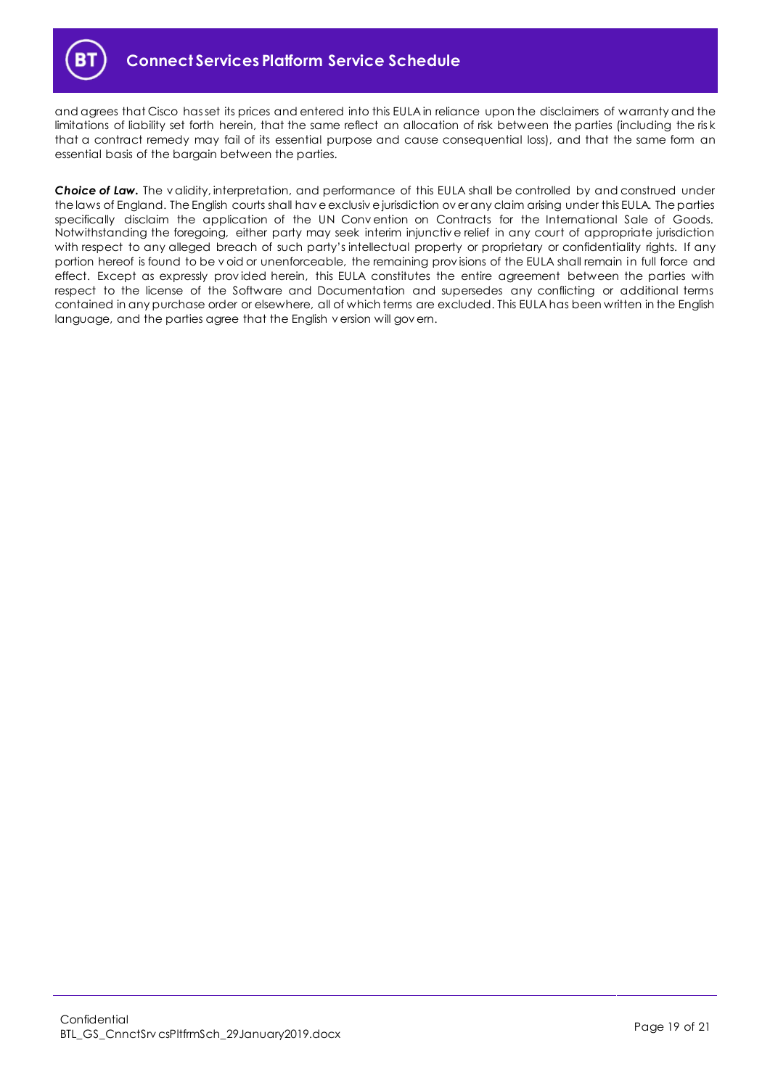

and agrees that Cisco has set its prices and entered into this EULA in reliance upon the disclaimers of warranty and the limitations of liability set forth herein, that the same reflect an allocation of risk between the parties (including the ris k that a contract remedy may fail of its essential purpose and cause consequential loss), and that the same form an essential basis of the bargain between the parties.

*Choice of Law.* The v alidity, interpretation, and performance of this EULA shall be controlled by and construed under the laws of England. The English courts shall hav e exclusiv e jurisdiction ov er any claim arising under this EULA. The parties specifically disclaim the application of the UN Conv ention on Contracts for the International Sale of Goods. Notwithstanding the foregoing, either party may seek interim injunctiv e relief in any court of appropriate jurisdiction with respect to any alleged breach of such party's intellectual property or proprietary or confidentiality rights. If any portion hereof is found to be v oid or unenforceable, the remaining provisions of the EULA shall remain in full force and effect. Except as expressly prov ided herein, this EULA constitutes the entire agreement between the parties with respect to the license of the Software and Documentation and supersedes any conflicting or additional terms contained in any purchase order or elsewhere, all of which terms are excluded. This EULA has been written in the English language, and the parties agree that the English v ersion will gov ern.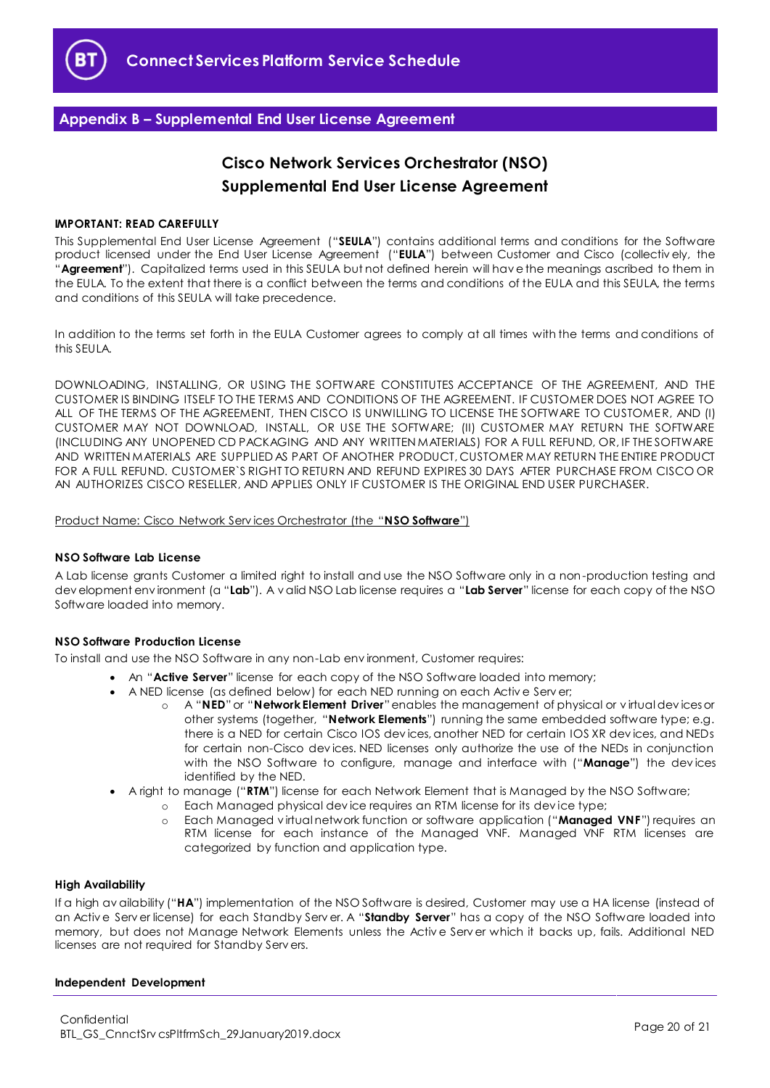

# <span id="page-19-0"></span>**Appendix B – Supplemental End User License Agreement**

# **Cisco Network Services Orchestrator (NSO) Supplemental End User License Agreement**

#### **IMPORTANT: READ CAREFULLY**

This Supplemental End User License Agreement ("**SEULA**") contains additional terms and conditions for the Software product licensed under the End User License Agreement ("**EULA**") between Customer and Cisco (collectiv ely, the "**Agreement**"). Capitalized terms used in this SEULA but not defined herein will hav e the meanings ascribed to them in the EULA. To the extent that there is a conflict between the terms and conditions of the EULA and this SEULA, the terms and conditions of this SEULA will take precedence.

In addition to the terms set forth in the EULA Customer agrees to comply at all times with the terms and conditions of this SEULA.

DOWNLOADING, INSTALLING, OR USING THE SOFTWARE CONSTITUTES ACCEPTANCE OF THE AGREEMENT, AND THE CUSTOMER IS BINDING ITSELF TO THE TERMS AND CONDITIONS OF THE AGREEMENT. IF CUSTOMER DOES NOT AGREE TO ALL OF THE TERMS OF THE AGREEMENT, THEN CISCO IS UNWILLING TO LICENSE THE SOFTWARE TO CUSTOMER, AND (I) CUSTOMER MAY NOT DOWNLOAD, INSTALL, OR USE THE SOFTWARE; (II) CUSTOMER MAY RETURN THE SOFTWARE (INCLUDING ANY UNOPENED CD PACKAGING AND ANY WRITTEN MATERIALS) FOR A FULL REFUND, OR, IF THE SOFTWARE AND WRITTEN MATERIALS ARE SUPPLIED AS PART OF ANOTHER PRODUCT, CUSTOMER MAY RETURN THE ENTIRE PRODUCT FOR A FULL REFUND. CUSTOMER`S RIGHT TO RETURN AND REFUND EXPIRES 30 DAYS AFTER PURCHASE FROM CISCO OR AN AUTHORIZES CISCO RESELLER, AND APPLIES ONLY IF CUSTOMER IS THE ORIGINAL END USER PURCHASER.

#### Product Name: Cisco Network Serv ices Orchestrator (the "**NSO Software**")

#### **NSO Software Lab License**

A Lab license grants Customer a limited right to install and use the NSO Software only in a non-production testing and dev elopment env ironment (a "**Lab**"). A v alid NSO Lab license requires a "**Lab Server**" license for each copy of the NSO Software loaded into memory.

#### **NSO Software Production License**

To install and use the NSO Software in any non-Lab env ironment, Customer requires:

- An "**Active Server**" license for each copy of the NSO Software loaded into memory;
- A NED license (as defined below) for each NED running on each Activ e Serv er;
	- o A "**NED**"or "**Network Element Driver**"enables the management of physical or v irtual dev ices or other systems (together, "**Network Elements**") running the same embedded software type; e.g. there is a NED for certain Cisco IOS dev ices, another NED for certain IOS XR dev ices, and NEDs for certain non-Cisco dev ices. NED licenses only authorize the use of the NEDs in conjunction with the NSO Software to configure, manage and interface with ("**Manage**") the dev ices identified by the NED.
- A right to manage ("**RTM**") license for each Network Element that is Managed by the NSO Software;
	- o Each Managed physical dev ice requires an RTM license for its dev ice type;
		- o Each Managed v irtual network function or software application ("**Managed VNF**") requires an RTM license for each instance of the Managed VNF. Managed VNF RTM licenses are categorized by function and application type.

#### **High Availability**

If a high av ailability ("**HA**") implementation of the NSO Software is desired, Customer may use a HA license (instead of an Activ e Serv er license) for each Standby Serv er. A "**Standby Server**" has a copy of the NSO Software loaded into memory, but does not Manage Network Elements unless the Activ e Serv er which it backs up, fails. Additional NED licenses are not required for Standby Serv ers.

#### **Independent Development**